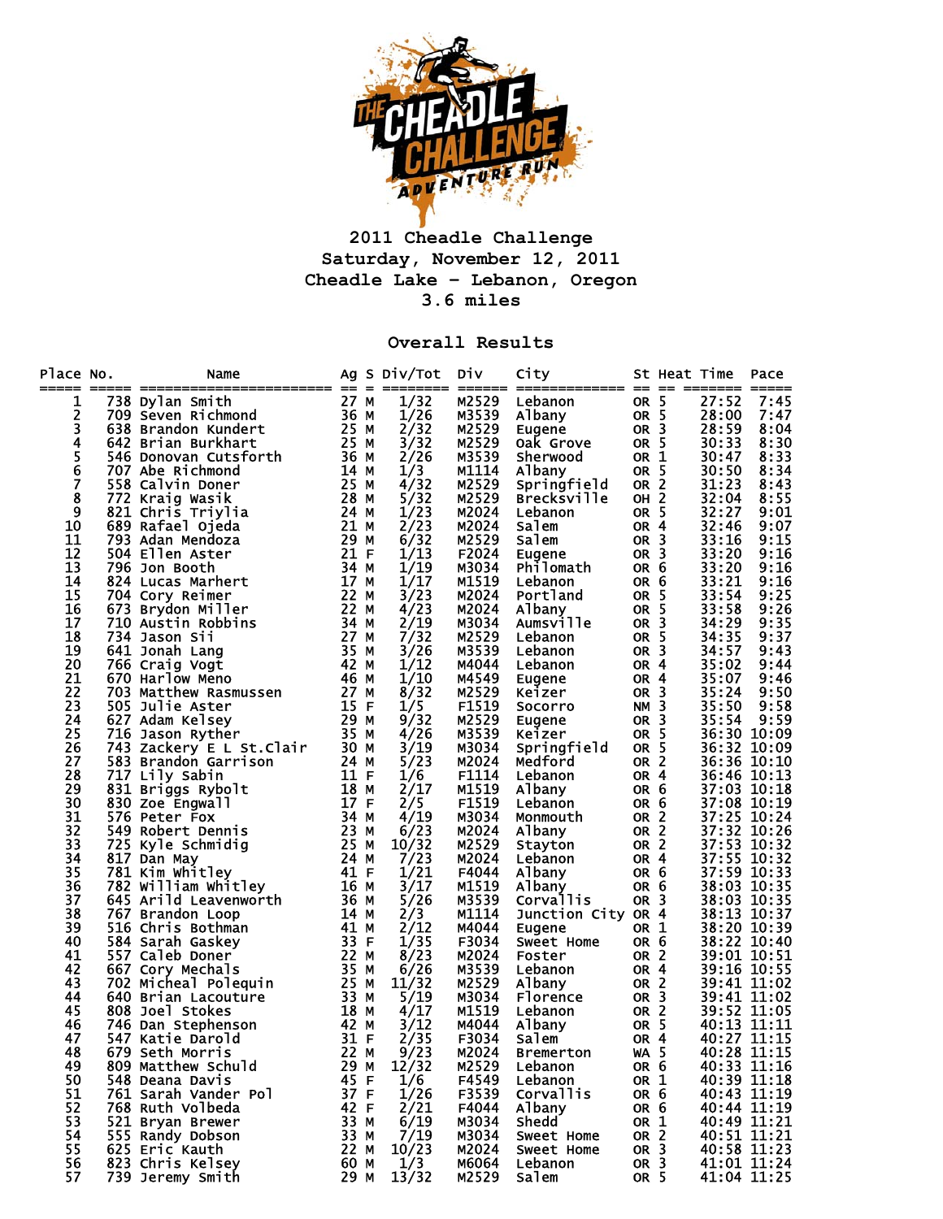

## **2011 Cheadle Challenge Saturday, November 12, 2011 Cheadle Lake – Lebanon, Oregon 3.6 miles**

## **Overall Results**

| Place No.     | Name                                                                                                                                                                   |      | Ag S Div/Tot | <b>Div</b> | City               |                 | St Heat Time |             | Pace        |
|---------------|------------------------------------------------------------------------------------------------------------------------------------------------------------------------|------|--------------|------------|--------------------|-----------------|--------------|-------------|-------------|
| 1             | 738 Dylan Smith                                                                                                                                                        | 27 M | 1/32         | M2529      | Lebanon            | OR <sub>5</sub> |              | 27:52       | 7:45        |
| 2             | 709 Seven Richmond                                                                                                                                                     | 36 M | 1/26         | M3539      | Albany             | OR 5            |              | 28:00       | 7:47        |
| 3             | 638 Brandon Kundert                                                                                                                                                    | 25 M | 2/32         | M2529      | Eugene             | OR 3            |              | 28:59       | 8:04        |
| 4             | 642 Brian Burkhart                                                                                                                                                     | 25 M | 3/32         | M2529      | Oak Grove          | OR 5            |              | 30:33       | 8:30        |
|               | 546 Donovan Cutsforth                                                                                                                                                  | 36 M | 2/26         | M3539      | Sherwood           | OR 1            |              | 30:47       | 8:33        |
| $\frac{5}{6}$ | 707 Abe Richmond                                                                                                                                                       | 14 M | 1/3          | M1114      | Albany             | OR 5            |              | 30:50       | 8:34        |
| 7             | 558 Calvin Doner                                                                                                                                                       | 25 M | 4/32         | M2529      | Springfield        | OR <sub>2</sub> |              | 31:23       | 8:43        |
| 8             | 772 Kraig Wasik                                                                                                                                                        | 28 M | 5/32         | M2529      | Brecksville        | <b>OH 2</b>     |              | 32:04       | 8:55        |
| 9             | 821 Chris Triylia                                                                                                                                                      | 24 M | 1/23         | M2024      | Lebanon            | OR 5            |              | 32:27       | 9:01        |
| 10            | 689 Rafael Ojeda                                                                                                                                                       | 21 M | 2/23         | M2024      | Salem              | OR <sub>4</sub> |              | 32:46       | 9:07        |
| 11            | 793 Adan Mendoza                                                                                                                                                       | 29 M | 6/32         | M2529      | Salem              | OR <sub>3</sub> |              | 33:16       | 9:15        |
| 12            | 504 Ellen Aster                                                                                                                                                        | 21 F | 1/13         | F2024      | Eugene             | OR <sub>3</sub> |              | 33:20       | 9:16        |
| 13            | 796 Jon Booth                                                                                                                                                          | 34 M | 1/19         | M3034      | Philomath          | OR <sub>6</sub> |              | 33:20       | 9:16        |
| 14            | 824 Lucas Marhert                                                                                                                                                      | 17 M | 1/17         | M1519      | Lebanon            | OR 6            |              | 33:21       | 9:16        |
| 15            | 704 Cory Reimer                                                                                                                                                        | 22 M | 3/23         | M2024      | Portland           | OR <sub>5</sub> |              | 33:54       | 9:25        |
| 16            | 673 Brydon Miller                                                                                                                                                      | 22 M | 4/23         | M2024      | Albany             | OR 5            |              | 33:58       | 9:26        |
| 17            |                                                                                                                                                                        | 34 M | 2/19         | M3034      | Aumsville          | OR 3            |              | 34:29       | 9:35        |
| 18            |                                                                                                                                                                        | 27 M | 7/32         | M2529      | Lebanon            | OR <sub>5</sub> |              | 34:35       | 9:37        |
| 19            | And Tang<br>Sing Vogt<br>C70 Harlow Meno<br>C70 Harlow Meno<br>T03 Matthew Rasmussen<br>S05 Julie Aster<br>S27 Adam Kelsey<br>16 Jason Ryther<br>13 Zackerv<br>3 Bress | 35 M | 3/26         | M3539      | Lebanon            | OR <sub>3</sub> |              | 34:57       | 9:43        |
| 20            |                                                                                                                                                                        | 42 M | 1/12         | M4044      | Lebanon            | OR <sub>4</sub> |              | 35:02       | 9:44        |
| 21            |                                                                                                                                                                        | 46 M | 1/10         | M4549      | Eugene             | OR 4            |              | 35:07       | 9:46        |
| 22            |                                                                                                                                                                        | 27 M | 8/32         | M2529      | Keizer             | OR <sub>3</sub> |              | 35:24       | 9:50        |
| 23            |                                                                                                                                                                        | 15 F | 1/5          | F1519      | <b>Socorro</b>     | <b>NM 3</b>     |              | 35:50       | 9:58        |
| 24            |                                                                                                                                                                        | 29 M | 9/32         | M2529      | Eugene             | OR <sub>3</sub> |              | 35:54       | 9:59        |
| 25            |                                                                                                                                                                        | 35 M | 4/26         | M3539      | Keizer             | OR 5            |              |             | 36:30 10:09 |
| 26            |                                                                                                                                                                        | 30 M | 3/19         | M3034      | Springfield        | OR <sub>5</sub> |              |             | 36:32 10:09 |
| 27            | 583 Brandon Garrison                                                                                                                                                   | 24 M | 5/23         | M2024      | Medford            | OR <sub>2</sub> |              |             | 36:36 10:10 |
| 28            | 717 Lily Sabin                                                                                                                                                         | 11 F | 1/6          | F1114      | Lebanon            | OR 4            |              |             | 36:46 10:13 |
| 29            | 831 Briggs Rybolt                                                                                                                                                      | 18 M | 2/17         | M1519      | Albany             | OR <sub>6</sub> |              |             | 37:03 10:18 |
| 30            | 830 Zoe Engwall                                                                                                                                                        | 17 F | 2/5          | F1519      | Lebanon            | OR 6            |              |             | 37:08 10:19 |
| 31            | 576 Peter Fox                                                                                                                                                          | 34 M | 4/19         | M3034      | Monmouth           | OR <sub>2</sub> |              |             | 37:25 10:24 |
| 32            | 549 Robert Dennis                                                                                                                                                      | 23 M | 6/23         | M2024      | Albany             | OR <sub>2</sub> |              |             | 37:32 10:26 |
| 33            | 725 Kyle Schmidig                                                                                                                                                      | 25 M | 10/32        | M2529      | Stayton            | OR <sub>2</sub> |              |             | 37:53 10:32 |
| 34            | 817 Dan May                                                                                                                                                            | 24 M | 7/23         | M2024      | Lebanon            | OR <sub>4</sub> |              |             | 37:55 10:32 |
| 35            | 817 Dan may<br>781 Kim Whitley<br>782 William Whitley<br>645 Arild Leavenworth<br>545 Arild Leavenworth                                                                | 41 F | 1/21         | F4044      | Albany             | OR <sub>6</sub> |              |             | 37:59 10:33 |
| 36            |                                                                                                                                                                        | 16 M | 3/17         | M1519      | Albany             | OR 6            |              |             | 38:03 10:35 |
| 37            |                                                                                                                                                                        | 36 M | 5/26         | M3539      | <b>Corvallis</b>   | OR <sub>3</sub> |              |             | 38:03 10:35 |
| 38            | 767 Brandon Loop                                                                                                                                                       | 14 M | 2/3          | M1114      | Junction City OR 4 |                 |              |             | 38:13 10:37 |
| 39            | 516 Chris Bothman                                                                                                                                                      | 41 M | 2/12         | M4044      | Eugene             | OR 1            |              |             | 38:20 10:39 |
| 40            | 584 Sarah Gaskey                                                                                                                                                       | 33 F | 1/35         | F3034      | Sweet Home         | OR 6            |              |             | 38:22 10:40 |
| 41            | 557 Caleb Doner                                                                                                                                                        | 22 M | 8/23         | M2024      | Foster             | OR <sub>2</sub> |              |             | 39:01 10:51 |
| 42            | 667 Cory Mechals                                                                                                                                                       | 35 M | 6/26         | M3539      | Lebanon            | OR 4            |              |             | 39:16 10:55 |
| 43            | 702 Micheal Polequin                                                                                                                                                   | 25 M | 11/32        | M2529      | Albany             | OR 2            |              |             | 39:41 11:02 |
| 44            | 640 Brian Lacouture                                                                                                                                                    | 33 M | 5/19         | M3034      | Florence           | OR <sub>3</sub> |              |             | 39:41 11:02 |
| 45            | 808 Joel Stokes                                                                                                                                                        | 18 M | 4/17         | M1519      | Lebanon            | OR <sub>2</sub> |              |             | 39:52 11:05 |
| 46            | 746 Dan Stephenson                                                                                                                                                     | 42 M | 3/12         | M4044      | Albany             | OR 5            |              | 40:13 11:11 |             |
| 47            | 547 Katie Darold                                                                                                                                                       | 31 F | 2/35         | F3034      | Salem              | OR <sub>4</sub> |              | 40:27 11:15 |             |
| 48            | 679 Seth Morris                                                                                                                                                        | 22 M | 9/23         | M2024      | <b>Bremerton</b>   | <b>WA 5</b>     |              | 40:28 11:15 |             |
| 49            | 809 Matthew Schuld                                                                                                                                                     | 29 M | 12/32        | M2529      | Lebanon            | OR <sub>6</sub> |              | 40:33 11:16 |             |
| 50            | 548 Deana Davis                                                                                                                                                        | 45 F | 1/6          | F4549      | Lebanon            | OR 1            |              |             | 40:39 11:18 |
| 51            | 761 Sarah Vander Pol                                                                                                                                                   | 37 F | 1/26         | F3539      | <b>Corvallis</b>   | OR 6            |              | 40:43 11:19 |             |
| 52            | 768 Ruth Volbeda                                                                                                                                                       | 42 F | 2/21         | F4044      | Albany             | OR 6            |              |             | 40:44 11:19 |
| 53            | 521 Bryan Brewer                                                                                                                                                       | 33 M | 6/19         | M3034      | Shedd              | OR 1            |              | 40:49 11:21 |             |
| 54            | 555 Randy Dobson                                                                                                                                                       | 33 M | 7/19         | M3034      | Sweet Home         | OR <sub>2</sub> |              | 40:51 11:21 |             |
| 55            | 625 Eric Kauth                                                                                                                                                         | 22 M | 10/23        | M2024      | Sweet Home         | OR <sub>3</sub> |              | 40:58 11:23 |             |
| 56            | 823 Chris Kelsey                                                                                                                                                       | 60 M | 1/3          | M6064      | Lebanon            | OR <sub>3</sub> |              |             | 41:01 11:24 |
| 57            | 739 Jeremy Smith                                                                                                                                                       | 29 M | 13/32        | M2529      | Salem              | OR 5            |              |             | 41:04 11:25 |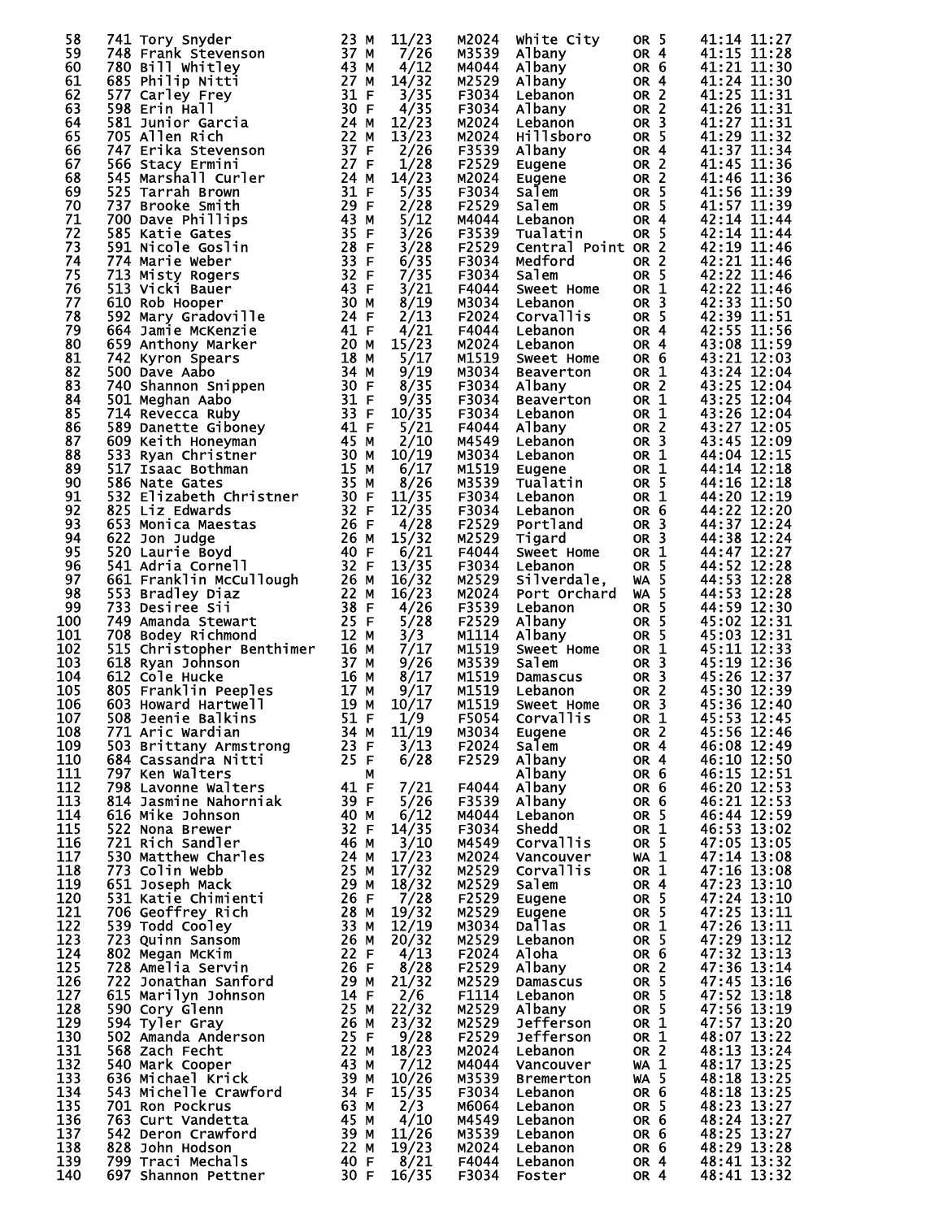| 58         |                                                                                                                                                                                                                                                                      |                              | 11/23         | M2024          | White City                     | OR <sub>5</sub>         | 41:14 11:27                |
|------------|----------------------------------------------------------------------------------------------------------------------------------------------------------------------------------------------------------------------------------------------------------------------|------------------------------|---------------|----------------|--------------------------------|-------------------------|----------------------------|
| 59         |                                                                                                                                                                                                                                                                      |                              | 7/26          | M3539          | Albany                         | OR <sub>4</sub>         | 41:15 11:28                |
| 60         |                                                                                                                                                                                                                                                                      |                              | 4/12          | M4044          |                                | OR 6                    | 41:21 11:30                |
|            |                                                                                                                                                                                                                                                                      |                              |               |                | Albany                         |                         |                            |
| 61         | <b>685 Philip Nitti<br/> 577 Carley Frey 31 F<br/> 598 Erin Hall 30 F<br/> 581 Junior Garcia 24 M<br/> 22 M<br/> 22 M<br/> 22 M<br/> 22 M</b>                                                                                                                        |                              | 14/32         | M2529          | Albany                         | OR 4                    | 41:24 11:30                |
| 62         |                                                                                                                                                                                                                                                                      |                              | 3/35          | F3034          | Lebanon                        | OR <sub>2</sub>         | 41:25 11:31                |
| 63         |                                                                                                                                                                                                                                                                      |                              | 4/35          | F3034          | Albany                         | OR <sub>2</sub>         | 41:26 11:31                |
| 64         |                                                                                                                                                                                                                                                                      |                              | 12/23         | M2024          | Lebanon                        | OR <sub>3</sub>         | 41:27 11:31                |
| 65         |                                                                                                                                                                                                                                                                      |                              | 13/23         | M2024          | Hillsboro                      | OR <sub>5</sub>         | 41:29 11:32                |
| 66         |                                                                                                                                                                                                                                                                      |                              | 2/26          | F3539          | Albany                         | OR 4                    | 41:37 11:34                |
| 67         |                                                                                                                                                                                                                                                                      |                              |               |                |                                |                         | 41:45 11:36                |
|            |                                                                                                                                                                                                                                                                      |                              | 1/28          | F2529          | Eugene                         | OR <sub>2</sub>         |                            |
| 68         |                                                                                                                                                                                                                                                                      |                              | 14/23         | M2024          | Eugene                         | OR <sub>2</sub>         | 41:46 11:36                |
| 69         |                                                                                                                                                                                                                                                                      |                              | 5/35          | F3034          | Salem                          | OR <sub>5</sub>         | 41:56 11:39                |
| 70         |                                                                                                                                                                                                                                                                      |                              | 2/28          | F2529          | Salem                          | OR <sub>5</sub>         | 41:57 11:39                |
| 71         |                                                                                                                                                                                                                                                                      |                              | 5/12          | M4044          | Lebanon                        | OR 4                    | 42:14 11:44                |
| 72         |                                                                                                                                                                                                                                                                      |                              | 3/26          | F3539          | Tualatin                       | OR <sub>5</sub>         | 42:14 11:44                |
|            |                                                                                                                                                                                                                                                                      |                              |               |                |                                |                         |                            |
| 73         |                                                                                                                                                                                                                                                                      |                              | 3/28          | F2529          | Central Point OR 2             |                         | 42:19 11:46                |
| 74         |                                                                                                                                                                                                                                                                      |                              | 6/35          | F3034          | Medford                        | OR <sub>2</sub>         | 42:21 11:46                |
| 75         |                                                                                                                                                                                                                                                                      |                              | 7/35          | F3034          | Salem                          | OR 5                    | 42:22 11:46                |
| 76         |                                                                                                                                                                                                                                                                      |                              | 3/21          | F4044          | Sweet Home                     | OR 1                    | 42:22 11:46                |
| 77         |                                                                                                                                                                                                                                                                      |                              | 8/19          | M3034          | Lebanon                        | OR <sub>3</sub>         | 42:33 11:50                |
| 78         |                                                                                                                                                                                                                                                                      |                              | 2/13          | F2024          | Corvallis                      | OR 5                    | 42:39 11:51                |
|            |                                                                                                                                                                                                                                                                      |                              |               |                |                                |                         |                            |
| 79         |                                                                                                                                                                                                                                                                      |                              | 4/21          | F4044          | Lebanon                        | OR <sub>4</sub>         | 42:55 11:56                |
| 80         |                                                                                                                                                                                                                                                                      |                              | 15/23         | M2024          | Lebanon                        | OR 4                    | 43:08 11:59                |
| 81         |                                                                                                                                                                                                                                                                      |                              | 5/17          | M1519          | Sweet Home                     | OR 6                    | 43:21 12:03                |
| 82         |                                                                                                                                                                                                                                                                      |                              | 9/19          | M3034          | Beaverton                      | OR 1                    | 43:24 12:04                |
| 83         |                                                                                                                                                                                                                                                                      |                              | 8/35          | F3034          | Albany                         | OR <sub>2</sub>         | 43:25 12:04                |
| 84         |                                                                                                                                                                                                                                                                      |                              | 9/35          | F3034          |                                | OR 1                    | 43:25 12:04                |
|            | 381 Junior Garcia<br>747 Erika Stevenson<br>566 Stacy Ermini 227 F M<br>545 Marshall Curler 24 M M<br>747 Erika Stevenson<br>566 Stacy Ermini 227 F M<br>737 Brooke Smith<br>737 Brooke Smith<br>737 Brooke Smith<br>737 Brooke Smith<br>739 Katie                   |                              |               |                | Beaverton                      |                         |                            |
| 85         |                                                                                                                                                                                                                                                                      |                              | 10/35         | F3034          | Lebanon                        | OR 1                    | 43:26 12:04                |
| 86         |                                                                                                                                                                                                                                                                      |                              | 5/21          | F4044          | Albany                         | OR <sub>2</sub>         | 43:27 12:05                |
| 87         |                                                                                                                                                                                                                                                                      |                              | 2/10          | M4549          | Lebanon                        | OR <sub>3</sub>         | 43:45 12:09                |
| 88         |                                                                                                                                                                                                                                                                      |                              | 10/19         | M3034          | Lebanon                        | OR 1                    | 44:04 12:15                |
| 89         |                                                                                                                                                                                                                                                                      |                              | 6/17          | M1519          | Eugene                         | OR 1                    | 44:14 12:18                |
| 90         |                                                                                                                                                                                                                                                                      |                              | 8/26          | M3539          | Tualatin                       | OR 5                    | 44:16 12:18                |
|            |                                                                                                                                                                                                                                                                      |                              |               |                |                                |                         |                            |
| 91         |                                                                                                                                                                                                                                                                      |                              | 11/35         | F3034          | Lebanon                        | OR 1                    | 44:20 12:19                |
| 92         |                                                                                                                                                                                                                                                                      |                              | 12/35         | F3034          | Lebanon                        | OR <sub>6</sub>         | 44:22 12:20                |
| 93         |                                                                                                                                                                                                                                                                      |                              | 4/28          | F2529          | Portland                       | OR <sub>3</sub>         | 44:37 12:24                |
| 94         |                                                                                                                                                                                                                                                                      |                              | 15/32         | M2529          | Tigard                         | OR <sub>3</sub>         | 44:38 12:24                |
| 95         |                                                                                                                                                                                                                                                                      |                              | 6/21          | F4044          | Sweet Home                     | OR 1                    | 44:47 12:27                |
| 96         |                                                                                                                                                                                                                                                                      |                              | 13/35         |                | Lebanon                        |                         |                            |
|            |                                                                                                                                                                                                                                                                      |                              |               | F3034          |                                | OR <sub>5</sub>         | 44:52 12:28                |
| 97         |                                                                                                                                                                                                                                                                      |                              | 16/32         | M2529          | silverdale,                    | <b>WA 5</b>             | 44:53 12:28                |
| 98         |                                                                                                                                                                                                                                                                      |                              | 16/23         | M2024          | Port Orchard                   | $WA$ 5                  | 44:53 12:28                |
| 99         |                                                                                                                                                                                                                                                                      |                              | 4/26          | F3539          | Lebanon                        | OR <sub>5</sub>         | 44:59 12:30                |
| 100        |                                                                                                                                                                                                                                                                      |                              | 5/28          | F2529          | Albany                         | OR <sub>5</sub>         | 45:02 12:31                |
| 101        | 26 F<br>520 Laurie Boyd<br>541 Adria Cornell<br>541 Adria Cornell<br>661 Franklin McCullough<br>553 Bradley Diaz<br>733 Desiree Sii<br>749 Amanda Stewart<br>708 Bodey Richmond<br>515 Christopher                                                                   |                              | 3/3           | M1114          | Albany                         | OR 5                    | 45:03 12:31                |
| 102        | For Bookey Archives<br>515 Christopher Benthimer<br>618 Ryan Johnson<br>612 Cole Hucke<br>805 Franklin Peeples<br>603 Howard Hartwell<br>508 Jeenie Balkins<br>51 F                                                                                                  |                              | 7/17          | M1519          | Sweet Home                     | OR <sub>1</sub>         | 45:11 12:33                |
|            |                                                                                                                                                                                                                                                                      |                              |               |                |                                |                         |                            |
| 103        | 618 Ryan Johnson                                                                                                                                                                                                                                                     |                              | 9/26          | M3539          | salem                          | OR <sub>3</sub>         | 45:19 12:36                |
| 104        |                                                                                                                                                                                                                                                                      |                              | 8/17          | M1519          |                                | OR <sub>3</sub>         | 45:26 12:37                |
| 105        |                                                                                                                                                                                                                                                                      |                              | 9/17          | M1519          | Damascus<br>Lebanon<br>Lebanon | OR <sub>2</sub>         | 45:30 12:39                |
| 106        |                                                                                                                                                                                                                                                                      |                              | 10/17         | M1519          | Sweet Home                     | OR <sub>3</sub>         | 45:36 12:40                |
| 107        | 508 Jeenie Balkins                                                                                                                                                                                                                                                   | 51 F                         | 1/9           | F5054          | Corvallis OR 1                 |                         | 45:53 12:45                |
|            |                                                                                                                                                                                                                                                                      | 34 M                         | 11/19         |                |                                |                         | 45:56 12:46                |
| 108        | 771 Aric Wardian                                                                                                                                                                                                                                                     |                              |               | M3034          | Eugene                         | OR <sub>2</sub>         |                            |
| 109        | 503 Brittany Armstrong                                                                                                                                                                                                                                               | $\frac{23}{5}$ F             | 3/13          | F2024          | salem                          | OR <sub>4</sub>         | 46:08 12:49                |
| 110        | 684 Cassandra Nitti                                                                                                                                                                                                                                                  | 25 F                         | 6/28          | F2529          | Albany                         | OR 4                    | 46:10 12:50                |
| 111        | 797 Ken Walters                                                                                                                                                                                                                                                      | м                            |               |                | Albany                         | OR <sub>6</sub>         | 46:15 12:51                |
| 112        | 798 Lavonne Walters                                                                                                                                                                                                                                                  | 41 F<br>39 F                 | 7/21          | F4044          | Albany                         | OR 6                    | 46:20 12:53                |
| 113        | 814 Jasmine Nahorniak                                                                                                                                                                                                                                                |                              | 5/26          | F3539          | Albany                         | OR 6                    | 46:21 12:53                |
| 114        | 616 Mike Johnson                                                                                                                                                                                                                                                     |                              | 6/12          | M4044          | Lebanon                        | OR <sub>5</sub>         | 46:44 12:59                |
|            |                                                                                                                                                                                                                                                                      |                              |               |                |                                |                         |                            |
| 115        | 522 Nona Brewer                                                                                                                                                                                                                                                      | 40 M<br>32 F<br>46 M<br>24 M | 14/35         | F3034          | Shedd                          | OR <sub>1</sub>         | 46:53 13:02                |
| 116        | 721 Rich Sandler                                                                                                                                                                                                                                                     |                              | 3/10          | M4549          | Corvallis                      | OR <sub>5</sub>         | 47:05 13:05                |
| 117        | 530 Matthew Charles                                                                                                                                                                                                                                                  |                              | 17/23         | M2024          | Vancouver                      | WA 1                    | 47:14 13:08                |
| 118        | 773 Colin Webb                                                                                                                                                                                                                                                       | 25 M<br>29 M                 | 17/32         | M2529          | Corvallis                      | OR 1                    | 47:16 13:08                |
| 119        | 651 Joseph Mack                                                                                                                                                                                                                                                      |                              | 18/32         | M2529          | salem                          | OR <sub>4</sub>         | 47:23 13:10                |
| 120        |                                                                                                                                                                                                                                                                      |                              | 7/28          | F2529          | Eugene                         | OR <sub>5</sub>         | 47:24 13:10                |
|            |                                                                                                                                                                                                                                                                      |                              |               |                |                                |                         | 47:25 13:11                |
| 121        |                                                                                                                                                                                                                                                                      |                              | 19/32         | M2529          | Eugene                         | OR <sub>5</sub>         |                            |
| 122        | 951 Sales<br>706 Geoffrey Rich<br>706 Geoffrey Rich<br>733 Todd Cooley<br>723 Quinn Sansom<br>802 Megan McKim<br>728 Amelia Servin<br>722 Jonathan Sanford<br>722 Jonathan Sanford<br>722 Jonathan Sanford<br>722 Jonathan Sanford<br>722 Jonathan S                 |                              | 12/19         | M3034          | <b>Dallas</b>                  | OR 1                    | 47:26 13:11                |
| 123        |                                                                                                                                                                                                                                                                      |                              | 20/32         | M2529          | Lebanon                        | OR 5                    | 47:29 13:12                |
| 124        |                                                                                                                                                                                                                                                                      |                              | 4/13          | F2024          | Aloha                          | OR <sub>6</sub>         | 47:32 13:13                |
| 125        |                                                                                                                                                                                                                                                                      |                              | 8/28          | F2529          | Albany                         | OR <sub>2</sub>         | 47:36 13:14                |
| 126        |                                                                                                                                                                                                                                                                      |                              | 21/32         | M2529          | Damascus                       | OR <sub>5</sub>         | 47:45 13:16                |
| 127        |                                                                                                                                                                                                                                                                      |                              |               |                |                                |                         |                            |
|            |                                                                                                                                                                                                                                                                      |                              | 2/6           | F1114          | Lebanon                        | OR <sub>5</sub>         | 47:52 13:18                |
| 128        |                                                                                                                                                                                                                                                                      |                              | 22/32         | M2529          | Albany                         | OR <sub>5</sub>         | 47:56 13:19                |
| 129        |                                                                                                                                                                                                                                                                      |                              | 23/32         | M2529          | <b>Jefferson</b>               | OR <sub>1</sub>         | 47:57 13:20                |
| 130        |                                                                                                                                                                                                                                                                      |                              | 9/28          | F2529          | Jefferson                      | OR 1                    | 48:07 13:22                |
|            |                                                                                                                                                                                                                                                                      |                              | 18/23         | M2024          | Lebanon                        | OR <sub>2</sub>         | 48:13 13:24                |
|            |                                                                                                                                                                                                                                                                      |                              | 7/12          | M4044          | Vancouver                      | <b>WA 1</b>             | 48:17 13:25                |
| 131        |                                                                                                                                                                                                                                                                      |                              |               |                |                                | <b>WA 5</b>             |                            |
| 132        |                                                                                                                                                                                                                                                                      |                              |               |                |                                |                         |                            |
| 133        |                                                                                                                                                                                                                                                                      |                              | 10/26         | M3539          | <b>Bremerton</b>               |                         | 48:18 13:25                |
| 134        | 228 Amelia Servin<br>223 Jonathan Sanford<br>615 Marilyn Johnson<br>590 Cory Glenn<br>590 Cory Glenn<br>594 Tyler Gray<br>502 Amanda Anderson<br>568 Zach Fecht<br>540 Mark Cooper<br>636 Michael Krick<br>638 Michael Kriewford<br>32 B                             |                              | 15/35         | F3034          | Lebanon                        | OR <sub>6</sub>         | 48:18 13:25                |
| 135        |                                                                                                                                                                                                                                                                      |                              | 2/3           | M6064          | Lebanon                        | OR 5                    | 48:23 13:27                |
| 136        |                                                                                                                                                                                                                                                                      |                              | 4/10          | M4549          | Lebanon                        | OR <sub>6</sub>         | 48:24 13:27                |
|            |                                                                                                                                                                                                                                                                      |                              |               |                |                                | OR 6                    |                            |
| 137        |                                                                                                                                                                                                                                                                      |                              | 11/26         | M3539          | Lebanon                        |                         | 48:25 13:27                |
| 138        |                                                                                                                                                                                                                                                                      |                              | 19/23         | M2024          | Lebanon                        | OR 6                    | 48:29 13:28                |
| 139<br>140 | 543 Michelle Crawford<br>701 Ron Pockrus<br>763 Curt Vandetta<br>763 Curt Vandetta<br>763 Curt Vandetta<br>793 Traci Mechals<br>799 Traci Mechals<br>799 Traci Mechals<br>799 Traci Mechals<br>799 Traci Mechals<br>799 Traci Mechals<br>40 F<br>697 Shannon Pettner | 30 F                         | 8/21<br>16/35 | F4044<br>F3034 | Lebanon<br>Foster              | OR 4<br>OR <sub>4</sub> | 48:41 13:32<br>48:41 13:32 |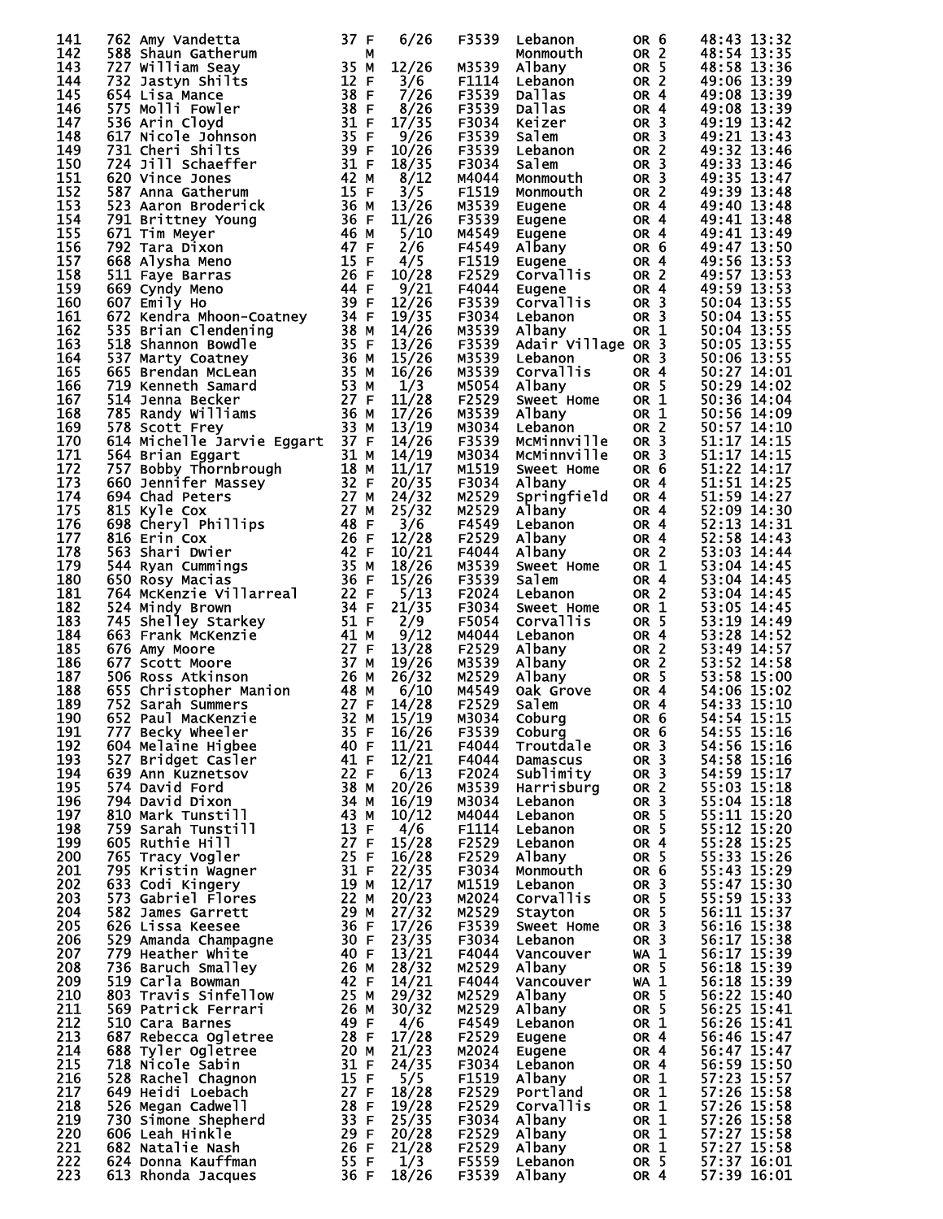| 141        | 762 Amy Vandetta                                                                                                                                                                                                                                        | 37 F | 6/26                   | F3539 | Lebanon                                                              | OR <sub>6</sub> | 48:43 13:32                |
|------------|---------------------------------------------------------------------------------------------------------------------------------------------------------------------------------------------------------------------------------------------------------|------|------------------------|-------|----------------------------------------------------------------------|-----------------|----------------------------|
| 142        | 588 Shaun Gatherum                                                                                                                                                                                                                                      | М    |                        |       | Monmouth                                                             | OR <sub>2</sub> | 48:54 13:35                |
| 143        | 727 William Seay                                                                                                                                                                                                                                        | 35 M | 12/26                  | M3539 | Albany                                                               | OR 5            | 48:58 13:36                |
| 144        | 732 Jastyn Shilts                                                                                                                                                                                                                                       | 12 F | 3/6                    | F1114 | Lebanon                                                              | OR <sub>2</sub> | 49:06 13:39                |
| 145        | 654 Lisa Mance                                                                                                                                                                                                                                          | 38 F | 7/26                   | F3539 | Dallas                                                               | OR 4            | 49:08 13:39                |
| 146        | 575 Molli Fowler                                                                                                                                                                                                                                        | 38 F | 8/26                   | F3539 | <b>Dallas</b>                                                        | OR <sub>4</sub> | 49:08 13:39                |
| 147        | 536 Arin Cloyd                                                                                                                                                                                                                                          | 31 F | 17/35                  | F3034 | Keizer                                                               | OR <sub>3</sub> | 49:19 13:42                |
| 148        | 530 Arin Cloyd<br>617 Nicole Johnson                                                                                                                                                                                                                    | 35 F | 9/26                   | F3539 | Salem                                                                | OR <sub>3</sub> | 49:21 13:43                |
| 149        | 731 Cheri Shilts                                                                                                                                                                                                                                        | 39 F | 10/26                  | F3539 | Lebanon                                                              | OR <sub>2</sub> | 49:32 13:46                |
| 150        |                                                                                                                                                                                                                                                         | 31 F |                        |       |                                                                      | OR <sub>3</sub> |                            |
| 151        | 724 Jill Schaeffer                                                                                                                                                                                                                                      | 42 M | 18/35                  | F3034 | Salem                                                                | OR <sub>3</sub> | 49:33 13:46                |
|            | 620 Vince Jones                                                                                                                                                                                                                                         |      | 8/12                   | M4044 | Monmouth                                                             |                 | 49:35 13:47                |
| 152        | 587 Anna Gatherum<br>$rac{15}{26}$<br>$rac{15}{26}$<br>$rac{36}{46}$<br>$rac{46}{47}$<br>$rac{15}{15}$<br>$rac{26}{44}$<br>$rac{6}{44}$                                                                                                                 |      | 3/5                    | F1519 | <b>Monmouth</b>                                                      | OR <sub>2</sub> | 49:39 13:48                |
| 153        | 523 Aaron Broderick                                                                                                                                                                                                                                     |      | 13/26                  | M3539 | Eugene                                                               | OR 4            | 49:40 13:48                |
| 154        | 791 Brittney Young                                                                                                                                                                                                                                      |      | 11/26                  | F3539 | Eugene                                                               | OR <sub>4</sub> | 49:41 13:48                |
| 155        | 671 Tim Meyer                                                                                                                                                                                                                                           |      | 5/10                   | M4549 | Eugene                                                               | OR <sub>4</sub> | 49:41 13:49                |
| 156        | 792 Tara Dixon                                                                                                                                                                                                                                          |      | 2/6                    |       | F4549 Albany                                                         | OR 6            | 49:47 13:50                |
| 157        | 668 Alysha Meno                                                                                                                                                                                                                                         |      | 4/5                    | F1519 | Eugene                                                               | OR <sub>4</sub> | 49:56 13:53                |
| 158        | 511 Faye Barras                                                                                                                                                                                                                                         |      | 10/28                  |       | F2529 Corvallis                                                      | OR <sub>2</sub> | 49:57 13:53                |
| 159        | 669 Cyndy Meno                                                                                                                                                                                                                                          |      | 9/21                   | F4044 | Eugene                                                               | OR <sub>4</sub> | 49:59 13:53                |
| 160        | 607 Emily Ho                                                                                                                                                                                                                                            |      | 12/26                  |       | F3539 Corvallis                                                      | OR <sub>3</sub> | 50:04 13:55                |
| 161        |                                                                                                                                                                                                                                                         |      | 19/35                  | F3034 | Lebanon                                                              | OR <sub>3</sub> | 50:04 13:55                |
| 162        |                                                                                                                                                                                                                                                         |      | 14/26                  | M3539 | Albany                                                               | OR 1            | 50:04 13:55                |
| 163        | 007 Emily Ho<br>672 Kendra Mhoon-Coatney<br>535 Brian Clendening<br>538 Mannon Bowdle<br>537 Marty Coatney<br>665 Brendan McLean<br>719 Kenneth Samard<br>719 Kenneth Samard<br>514 Jenna Becker<br>785 Randy Williams<br>578 Scott Frey<br>33 M        |      | 13/26                  | F3539 | Adair Village OR 3                                                   |                 | 50:05 13:55                |
| 164        |                                                                                                                                                                                                                                                         |      | 15/26                  | M3539 | Lebanon                                                              | OR <sub>3</sub> | 50:06 13:55                |
| 165        |                                                                                                                                                                                                                                                         |      | 16/26                  | M3539 | Corvallis                                                            | OR <sub>4</sub> | 50:27 14:01                |
| 166        |                                                                                                                                                                                                                                                         |      | 1/3                    |       | M5054 Albany                                                         | OR <sub>5</sub> | 50:29 14:02                |
|            |                                                                                                                                                                                                                                                         |      | 11/28                  |       |                                                                      |                 |                            |
| 167        |                                                                                                                                                                                                                                                         |      |                        | F2529 | Sweet Home                                                           | OR <sub>1</sub> | 50:36 14:04                |
| 168        |                                                                                                                                                                                                                                                         |      | 17/26                  | M3539 | Albany                                                               | OR 1            | 50:56 14:09                |
| 169        | 578 Scott Frey                                                                                                                                                                                                                                          | 33 M | 13/19                  | M3034 | Lebanon                                                              | OR <sub>2</sub> | 50:57 14:10                |
| 170        | 614 Michelle Jarvie Eggart 37 F                                                                                                                                                                                                                         |      | 14/26                  |       | F3539 McMinnville                                                    | OR <sub>3</sub> | 51:17 14:15                |
| 171        |                                                                                                                                                                                                                                                         |      | 14/19                  |       | M3034 McMinnville                                                    | OR <sub>3</sub> | 51:17 14:15                |
| 172        |                                                                                                                                                                                                                                                         |      | 11/17                  | M1519 | Sweet Home                                                           | OR 6            | 51:22 14:17                |
| 173        | 014<br>164 Brian Eggart 31 M<br>18564 Brian Eggart 318 M<br>18757 Bobby Thornbrough 188 M<br>660 Jennifer Massey 32 F<br>694 Chad Peters 27 M<br>815 Kyle Cox 27 M<br>698 Cheryl Phillips 48 F<br>698 Cheryl Phillips 48 F<br>650 Rosy Macias 36        |      | 20/35                  | F3034 | Albany                                                               | OR <sub>4</sub> | 51:51 14:25                |
| 174        |                                                                                                                                                                                                                                                         |      | 24/32                  | M2529 | Springfield                                                          | OR 4            | 51:59 14:27                |
| 175        |                                                                                                                                                                                                                                                         |      | 25/32                  | M2529 | Albany                                                               | OR <sub>4</sub> | 52:09 14:30                |
| 176        |                                                                                                                                                                                                                                                         |      | 3/6                    | F4549 | Lebanon                                                              | OR <sub>4</sub> | 52:13 14:31                |
| 177        |                                                                                                                                                                                                                                                         |      | 12/28                  | F2529 | Albany                                                               | OR <sub>4</sub> | 52:58 14:43                |
| 178        |                                                                                                                                                                                                                                                         |      | 10/21                  | F4044 | Albany                                                               | OR <sub>2</sub> | 53:03 14:44                |
| 179        |                                                                                                                                                                                                                                                         |      | 18/26                  | M3539 | Sweet Home                                                           | OR 1            | 53:04 14:45                |
| 180        |                                                                                                                                                                                                                                                         |      | 15/26                  | F3539 | Salem                                                                | OR <sub>4</sub> | 53:04 14:45                |
| 181        |                                                                                                                                                                                                                                                         |      | 5/13                   | F2024 | Lebanon                                                              | OR <sub>2</sub> | 53:04 14:45                |
| 182        | 650 Rósy Macias<br>764 McKenzie Villarreal     22 F<br>34 F                                                                                                                                                                                             | 34 F | 21/35                  |       |                                                                      |                 |                            |
|            | 524 Mindy Brown                                                                                                                                                                                                                                         |      |                        | F3034 | Sweet Home                                                           | OR 1            | 53:05 14:45                |
| 183        | 34 Minuy Brown<br>745 Shelley Starkey<br>663 Frank McKenzie<br>676 Amy Moore<br>676 Cost Moore<br>577 Scott Moore<br>506 Ross Atkinson<br>655 Christopher Manion<br>752 Sarah Summers<br>752 Sarah Summers<br>87 27 F<br>652 Paul MacKenzie<br>32 M     |      | 2/9                    | F5054 | <b>Corvallis</b>                                                     | OR 5            | 53:19 14:49                |
| 184        |                                                                                                                                                                                                                                                         |      | 9/12                   | M4044 | Lebanon<br>ebanon<br>√lbany<br>Albany<br>Albany<br>Oak Grove<br>∩lem | OR <sub>4</sub> | 53:28 14:52                |
| 185        |                                                                                                                                                                                                                                                         |      | 13/28                  | F2529 | Albany                                                               | OR <sub>2</sub> | 53:49 14:57                |
| 186        |                                                                                                                                                                                                                                                         |      | 19/26                  | M3539 | Albany                                                               | OR <sub>2</sub> | 53:52 14:58                |
| 187        |                                                                                                                                                                                                                                                         |      | 26/32                  | M2529 |                                                                      | OR 5            | 53:58 15:00                |
| 188        |                                                                                                                                                                                                                                                         |      | 6/10                   | M4549 |                                                                      | OR <sub>4</sub> | 54:06 15:02                |
| 189        |                                                                                                                                                                                                                                                         |      | 14/28                  | F2529 |                                                                      | OR 4            | 54:33 15:10                |
| 190        | 32 M<br>652 Paul MacKenzie                                                                                                                                                                                                                              |      | 15/19<br>16/26         | M3034 | OR 6<br>Coburg                                                       |                 | 54:54 15:15                |
| 191        | 777 Becky Wheeler                                                                                                                                                                                                                                       | 35 F |                        | F3539 | Coburg                                                               | OR 6            | 54:55 15:16                |
| 192        |                                                                                                                                                                                                                                                         |      | 11/21                  | F4044 | Troutdale                                                            | OR <sub>3</sub> | 54:56 15:16                |
| 193        |                                                                                                                                                                                                                                                         |      | 12/21                  | F4044 | Damascus                                                             | OR <sub>3</sub> | 54:58 15:16                |
| 194        |                                                                                                                                                                                                                                                         |      | 6/13                   | F2024 | Sublimity                                                            | OR <sub>3</sub> | 54:59 15:17                |
| 195        |                                                                                                                                                                                                                                                         |      | 20/26                  | M3539 | Harrisburg                                                           | OR <sub>2</sub> | 55:03 15:18                |
| 196        |                                                                                                                                                                                                                                                         |      | 16/19                  | M3034 | Lebanon                                                              | OR <sub>3</sub> | 55:04 15:18                |
| 197        |                                                                                                                                                                                                                                                         |      | 10/12                  | M4044 | Lebanon                                                              | OR <sub>5</sub> | 55:11 15:20                |
| 198        |                                                                                                                                                                                                                                                         |      | 4/6                    | F1114 | Lebanon                                                              | OR <sub>5</sub> | 55:12 15:20                |
| 199        |                                                                                                                                                                                                                                                         |      | 15/28                  |       |                                                                      |                 |                            |
|            |                                                                                                                                                                                                                                                         |      |                        | F2529 | Lebanon                                                              | OR <sub>4</sub> | 55:28 15:25<br>55:33 15:26 |
| 200<br>201 |                                                                                                                                                                                                                                                         |      | 16/28                  | F2529 | Albany                                                               | OR 5            |                            |
|            |                                                                                                                                                                                                                                                         |      | 22/35                  | F3034 | Monmouth                                                             | OR <sub>6</sub> | 55:43 15:29                |
| 202        |                                                                                                                                                                                                                                                         |      | 12/17                  | M1519 | Lebanon                                                              | OR <sub>3</sub> | 55:47 15:30                |
| 203        |                                                                                                                                                                                                                                                         |      | 20/23                  | M2024 | Corvallis                                                            | OR <sub>5</sub> | 55:59 15:33<br>56:11 15:37 |
| 204        |                                                                                                                                                                                                                                                         |      | 27/32                  | M2529 | Stayton                                                              | OR 5            |                            |
| 205        |                                                                                                                                                                                                                                                         |      | 17/26                  | F3539 | Sweet Home                                                           | OR <sub>3</sub> | 56:16 15:38                |
| 206        |                                                                                                                                                                                                                                                         |      | 23/35                  | F3034 | Lebanon                                                              | OR <sub>3</sub> | 56:17 15:38                |
| 207        |                                                                                                                                                                                                                                                         |      | 13/21                  | F4044 | Vancouver                                                            | $WA$ 1          | 56:17 15:39                |
| 208        |                                                                                                                                                                                                                                                         |      | 28/32                  | M2529 | Albany                                                               | OR 5            | 56:18 15:39                |
| 209        |                                                                                                                                                                                                                                                         |      | 14/21                  | F4044 | Vancouver                                                            | $WA$ 1          | 56:18 15:39                |
| 210        |                                                                                                                                                                                                                                                         |      | 29/32                  | M2529 | Albany                                                               | OR 5            | 56:22 15:40                |
| 211        |                                                                                                                                                                                                                                                         |      | 30/32                  | M2529 | Albany                                                               | OR <sub>5</sub> | 56:25 15:41                |
| 212        |                                                                                                                                                                                                                                                         |      | 4/6                    | F4549 | Lebanon                                                              | OR 1            | 56:26 15:41                |
| 213        |                                                                                                                                                                                                                                                         |      | 17/28                  | F2529 | Eugene                                                               | OR <sub>4</sub> | 56:46 15:47                |
| 214        |                                                                                                                                                                                                                                                         |      | 21/23                  | M2024 | Eugene                                                               | OR <sub>4</sub> | 56:47 15:47                |
| 215        |                                                                                                                                                                                                                                                         |      | 24/35                  | F3034 | Lebanon                                                              | OR <sub>4</sub> |                            |
| 216        |                                                                                                                                                                                                                                                         |      |                        | F1519 | Albany                                                               | OR 1            | 56:59 15:50<br>57:23 15:57 |
| 217        |                                                                                                                                                                                                                                                         |      | $\frac{5}{5}$<br>18/28 | F2529 | Portland                                                             | OR <sub>1</sub> | 57:26 15:58                |
| 218        |                                                                                                                                                                                                                                                         |      |                        |       |                                                                      | OR <sub>1</sub> | 57:26 15:58                |
|            |                                                                                                                                                                                                                                                         |      | 19/28                  | F2529 | Corvallis                                                            |                 |                            |
| 219        | b22 Paul MacKenzie<br>777 Becky wheeler<br>604 Melaine Higbee<br>527 Bridget Casler<br>639 Ann Kuznetsov<br>774 David Ford<br>794 David Ford<br>794 David Dixon<br>810 Mark Tunstill<br>759 Sarah Tunstill<br>605 Ruthie Hill<br>759 Sarah Tunstill<br> |      | 25/35                  | F3034 | Albany                                                               | OR 1            | 57:26 15:58                |
| 220        |                                                                                                                                                                                                                                                         |      | 20/28                  | F2529 | Albany                                                               | OR 1            | 57:27 15:58                |
| 221        |                                                                                                                                                                                                                                                         |      | 21/28                  | F2529 | Albany                                                               | OR 1            | 57:27 15:58                |
| 222        |                                                                                                                                                                                                                                                         |      | 1/3                    | F5559 | Lebanon                                                              | OR 5            | 57:37 16:01                |
| 223        | 613 Rhonda Jacques                                                                                                                                                                                                                                      | 36 F | 18/26                  | F3539 | Albany                                                               | OR 4            | 57:39 16:01                |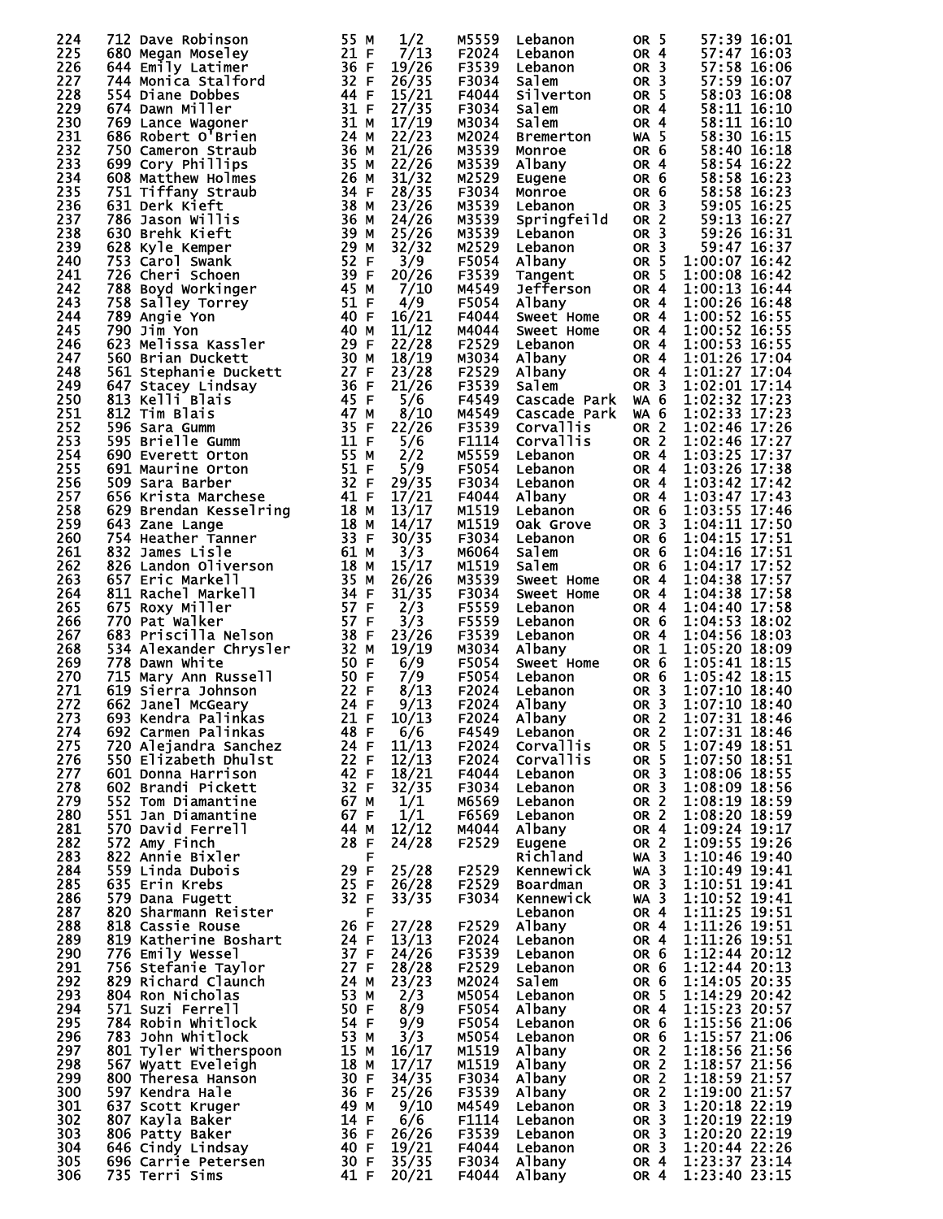| 224        | 712 Dave Robinson                        | 55 M         | 1/2            | M5559          | Lebanon                | OR <sub>5</sub>                    | 57:39 16:01                    |
|------------|------------------------------------------|--------------|----------------|----------------|------------------------|------------------------------------|--------------------------------|
| 225        | 680 Megan Moseley                        | 21 F         | 7/13           | F2024          | Lebanon                | OR <sub>4</sub>                    | 57:47 16:03                    |
| 226        | 644 Emily Latimer                        | 36 F         | 19/26          | F3539          | Lebanon                | OR <sub>3</sub>                    | 57:58 16:06                    |
| 227<br>228 | 744 Monica Stalford<br>554 Diane Dobbes  | 32 F<br>44 F | 26/35<br>15/21 | F3034<br>F4044 | Salem<br>Silverton     | OR <sub>3</sub><br>OR <sub>5</sub> | 57:59 16:07<br>58:03 16:08     |
| 229        | 674 Dawn Miller                          | 31 F         | 27/35          | F3034          | Salem                  | OR <sub>4</sub>                    | 58:11 16:10                    |
| 230        | 769 Lance Wagoner                        | 31 M         | 17/19          | M3034          | Salem                  | OR <sub>4</sub>                    | 58:11 16:10                    |
| 231        | 686 Robert O'Brien                       | 24 M         | 22/23          | M2024          | <b>Bremerton</b>       | <b>WA 5</b>                        | 58:30 16:15                    |
| 232        | 750 Cameron Straub                       | 36 M         | 21/26          | M3539          | Monroe                 | OR 6                               | 58:40 16:18                    |
| 233        | 699 Cory Phillips                        | 35 M         | 22/26          | M3539          | Albany                 | OR <sub>4</sub>                    | 58:54 16:22                    |
| 234        | 608 Matthew Holmes                       | 26 M         | 31/32          | M2529          | Eugene                 | OR 6                               | 58:58 16:23                    |
| 235        | 751 Tiffany Straub                       | 34 F         | 28/35          | F3034          | Monroe                 | OR 6                               | 58:58 16:23                    |
| 236<br>237 | 631 Derk Kieft<br>786 Jason Willis       | 38 M<br>36 M | 23/26<br>24/26 | M3539<br>M3539 | Lebanon<br>Springfeild | OR <sub>3</sub><br>OR <sub>2</sub> | 59:05 16:25<br>59:13 16:27     |
| 238        | 630 Brehk Kieft                          | 39 M         | 25/26          | M3539          | Lebanon                | OR <sub>3</sub>                    | 59:26 16:31                    |
| 239        | 628 Kyle Kemper                          | 29 M         | 32/32          | M2529          | Lebanon                | OR <sub>3</sub>                    | 59:47 16:37                    |
| 240        | 753 Carol Swank                          | 52 F         | 3/9            | F5054          | Albany                 | OR <sub>5</sub>                    | 1:00:07 16:42                  |
| 241        | 726 Cheri Schoen                         | 39 F         | 20/26          | F3539          | Tangent                | OR <sub>5</sub>                    | 1:00:08 16:42                  |
| 242        | 788 Boyd Workinger                       | 45 M         | 7/10           | M4549          | Jefferson              | OR <sub>4</sub>                    | 1:00:13 16:44                  |
| 243        | 758 Salley Torrey                        | 51 F         | 4/9            | F5054          | Albany                 | OR <sub>4</sub>                    | 1:00:26 16:48                  |
| 244        | 789 Angie Yon                            | 40 F         | 16/21          | F4044          | Sweet Home             | OR <sub>4</sub>                    | 1:00:52 16:55                  |
| 245        | 790 Jim Yon                              | 40 M         | 11/12          | M4044          | Sweet Home             | OR <sub>4</sub>                    | 1:00:52 16:55                  |
| 246<br>247 | 623 Melissa Kassler<br>560 Brian Duckett | 29 F<br>30 M | 22/28<br>18/19 | F2529<br>M3034 | Lebanon                | OR <sub>4</sub><br>OR <sub>4</sub> | 1:00:53 16:55<br>1:01:26 17:04 |
| 248        | 561 Stephanie Duckett                    | 27 F         | 23/28          | F2529          | Albany<br>Albany       | OR <sub>4</sub>                    | 1:01:27 17:04                  |
| 249        | 647 Stacey Lindsay                       | 36 F         | 21/26          | F3539          | Salem                  | OR <sub>3</sub>                    | 1:02:01 17:14                  |
| 250        | 813 Kelli Blais                          | 45 F         | 5/6            | F4549          | Cascade Park           | WA 6                               | 1:02:32 17:23                  |
| 251        | 812 Tim Blais                            | 47 M         | 8/10           | M4549          | Cascade Park           | WA 6                               | 1:02:33 17:23                  |
| 252        | 596 Sara Gumm                            | 35 F         | 22/26          | F3539          | <b>Corvallis</b>       | OR <sub>2</sub>                    | 1:02:46 17:26                  |
| 253        | 595 Brielle Gumm                         | 11 F         | 5/6            | F1114          | <b>Corvallis</b>       | OR <sub>2</sub>                    | 1:02:46 17:27                  |
| 254        | 690 Everett Orton                        | 55 M         | 2/2            | M5559          | Lebanon                | <b>OR 4</b>                        | 1:03:25 17:37                  |
| 255        | 691 Maurine Orton                        | 51 F         | 5/9            | F5054          | Lebanon                | OR <sub>4</sub>                    | 1:03:26 17:38                  |
| 256        | 509 Sara Barber                          | 32 F         | 29/35          | F3034          | Lebanon                | OR <sub>4</sub>                    | 1:03:42 17:42                  |
| 257<br>258 | 656 Krista Marchese                      | 41 F<br>18 M | 17/21<br>13/17 | F4044<br>M1519 | Albany<br>Lebanon      | OR <sub>4</sub><br>OR 6            | 1:03:47 17:43<br>1:03:55 17:46 |
| 259        | 629 Brendan Kesselring<br>643 Zane Lange | 18 M         | 14/17          | M1519          | Oak Grove              | OR <sub>3</sub>                    | 1:04:11 17:50                  |
| 260        | 754 Heather Tanner                       | 33 F         | 30/35          | F3034          | Lebanon                | OR 6                               | 1:04:15 17:51                  |
| 261        | 832 James Lisle                          | 61 M         | 3/3            | M6064          | Salem                  | OR 6                               | 1:04:16 17:51                  |
| 262        | 826 Landon Oliverson                     | 18 M         | 15/17          | M1519          | salem                  | OR 6                               | 1:04:17 17:52                  |
| 263        | 657 Eric Markell                         | 35 M         | 26/26          | M3539          | Sweet Home             | OR 4                               | 1:04:38 17:57                  |
| 264        | 811 Rachel Markell                       | 34 F         | 31/35          | F3034          | Sweet Home             | OR 4                               | 1:04:38 17:58                  |
| 265        | 675 Roxy Miller                          | 57 F         | 2/3            | F5559          | Lebanon                | OR <sub>4</sub>                    | 1:04:40 17:58                  |
| 266        | 770 Pat Walker                           | 57 F         | 3/3            | F5559          | Lebanon                | OR 6                               | 1:04:53 18:02                  |
| 267        | 683 Priscilla Nelson                     | 38 F         | 23/26          | F3539          | Lebanon                | OR <sub>4</sub>                    | 1:04:56 18:03                  |
| 268<br>269 | 534 Alexander Chrysler<br>778 Dawn White | 32 M<br>50 F | 19/19<br>6/9   | M3034<br>F5054 | Albany<br>Sweet Home   | OR 1<br>OR 6                       | 1:05:20 18:09<br>1:05:41 18:15 |
| 270        | 715 Mary Ann Russell                     | 50 F         | 7/9            | F5054          | Lebanon                | OR 6                               | 1:05:42 18:15                  |
| 271        | 619 Sierra Johnson                       | 22 F         | 8/13           | F2024          | Lebanon                | OR <sub>3</sub>                    | 1:07:10 18:40                  |
| 272        | 662 Janel McGeary                        | 24 F         | 9/13           | F2024          | Albany                 | OR <sub>3</sub>                    | 1:07:10 18:40                  |
| 273        | 693 Kendra Palinkas                      | 21 F         | 10/13          | F2024          | Albany                 | OR 2                               | 1:07:31 18:46                  |
| 274        | 692 Carmen Palinkas                      | 48 F         | 6/6            | F4549          | Lebanon                | OR <sub>2</sub>                    | 1:07:31 18:46                  |
| 275        | 720 Alejandra Sanchez                    | 24 F         | 11/13          | F2024          | <b>Corvallis</b>       | OR 5                               | 1:07:49 18:51                  |
| 276        | 550 Elizabeth Dhulst                     | 22 F         | 12/13          | F2024          | Corvallis              | OR <sub>5</sub>                    | 1:07:50 18:51                  |
| 277<br>278 | 601 Donna Harrison<br>602 Brandi Pickett | 42 F<br>32 F | 18/21<br>32/35 | F4044<br>F3034 | Lebanon<br>Lebanon     | OR <sub>3</sub><br>OR <sub>3</sub> | 1:08:06 18:55<br>1:08:09 18:56 |
| 279        | 552 Tom Diamantine                       | 67 M         | 1/1            | M6569          | Lebanon                | OR <sub>2</sub>                    | 1:08:19 18:59                  |
| 280        | 551 Jan Diamantine                       | 67 F         | 1/1            | F6569          | Lebanon                | OR <sub>2</sub>                    | 1:08:20 18:59                  |
| 281        | 570 David Ferrell                        | 44 M         | 12/12          | M4044          | Albany                 | OR <sub>4</sub>                    | 1:09:24 19:17                  |
| 282        | 572 Amy Finch                            | 28 F         | 24/28          | F2529          | Eugene                 | OR <sub>2</sub>                    | 1:09:55 19:26                  |
| 283        | 822 Annie Bixler                         | F            |                |                | Richland               | <b>WA 3</b>                        | 1:10:46 19:40                  |
| 284        | 559 Linda Dubois                         | 29 F         | 25/28          | F2529          | Kennewick              | $WA$ 3                             | 1:10:49 19:41                  |
| 285        | 635 Erin Krebs                           | 25 F         | 26/28          | F2529          | Boardman               | OR <sub>3</sub>                    | 1:10:51 19:41                  |
| 286        | 579 Dana Fugett                          | 32 F         | 33/35          | F3034          | Kennewick              | <b>WA 3</b>                        | 1:10:52 19:41<br>1:11:25 19:51 |
| 287<br>288 | 820 Sharmann Reister<br>818 Cassie Rouse | F<br>26 F    | 27/28          | F2529          | Lebanon                | OR <sub>4</sub><br>OR 4            | 1:11:26 19:51                  |
| 289        | 819 Katherine Boshart                    | 24 F         | 13/13          | F2024          | Albany<br>Lebanon      | OR <sub>4</sub>                    | 1:11:26 19:51                  |
| 290        | 776 Emily Wessel                         | 37 F         | 24/26          | F3539          | Lebanon                | OR 6                               | 1:12:44 20:12                  |
| 291        | 756 Stefanie Taylor                      | 27 F         | 28/28          | F2529          | Lebanon                | OR 6                               | 1:12:44 20:13                  |
| 292        | 829 Richard Claunch                      | 24 M         | 23/23          | M2024          | Salem                  | OR <sub>6</sub>                    | 1:14:05 20:35                  |
| 293        | 804 Ron Nicholas                         | 53 M         | 2/3            | M5054          | Lebanon                | OR 5                               | 1:14:29 20:42                  |
| 294        | 571 Suzi Ferrell                         | 50 F         | 8/9            | F5054          | Albany                 | OR 4                               | 1:15:23 20:57                  |
| 295        | 784 Robin Whitlock                       | 54 F         | 9/9            | F5054          | Lebanon                | OR 6                               | 1:15:56 21:06                  |
| 296        | 783 John Whitlock                        | 53 M         | 3/3            | M5054          | Lebanon                | OR 6                               | 1:15:57 21:06                  |
| 297        | 801 Tyler Witherspoon                    | 15 M         | 16/17          | M1519          | Albany                 | OR <sub>2</sub>                    | 1:18:56 21:56<br>1:18:57 21:56 |
| 298<br>299 | 567 Wyatt Eveleigh<br>800 Theresa Hanson | 18 M<br>30 F | 17/17<br>34/35 | M1519<br>F3034 | Albany<br>Albany       | OR <sub>2</sub><br>OR <sub>2</sub> | 1:18:59 21:57                  |
| 300        | 597 Kendra Hale                          | 36 F         | 25/26          | F3539          | Albany                 | OR <sub>2</sub>                    | 1:19:00 21:57                  |
| 301        | 637 Scott Kruger                         | 49 M         | 9/10           | M4549          | Lebanon                | OR <sub>3</sub>                    | 1:20:18 22:19                  |
| 302        | 807 Kayla Baker                          | 14 F         | 6/6            | F1114          | Lebanon                | OR <sub>3</sub>                    | 1:20:19 22:19                  |
| 303        | 806 Patty Baker                          | 36 F         | 26/26          | F3539          | Lebanon                | OR <sub>3</sub>                    | 1:20:20 22:19                  |
| 304        | 646 Cindy Lindsay                        | 40 F         | 19/21          | F4044          | Lebanon                | OR <sub>3</sub>                    | 1:20:44 22:26                  |
| 305<br>306 | 696 Carrie Petersen                      | 30 F         | 35/35          | F3034          | Albany                 | OR 4                               | 1:23:37 23:14<br>1:23:40 23:15 |
|            | 735 Terri Sims                           | 41 F         | 20/21          | F4044          | Albany                 | OR 4                               |                                |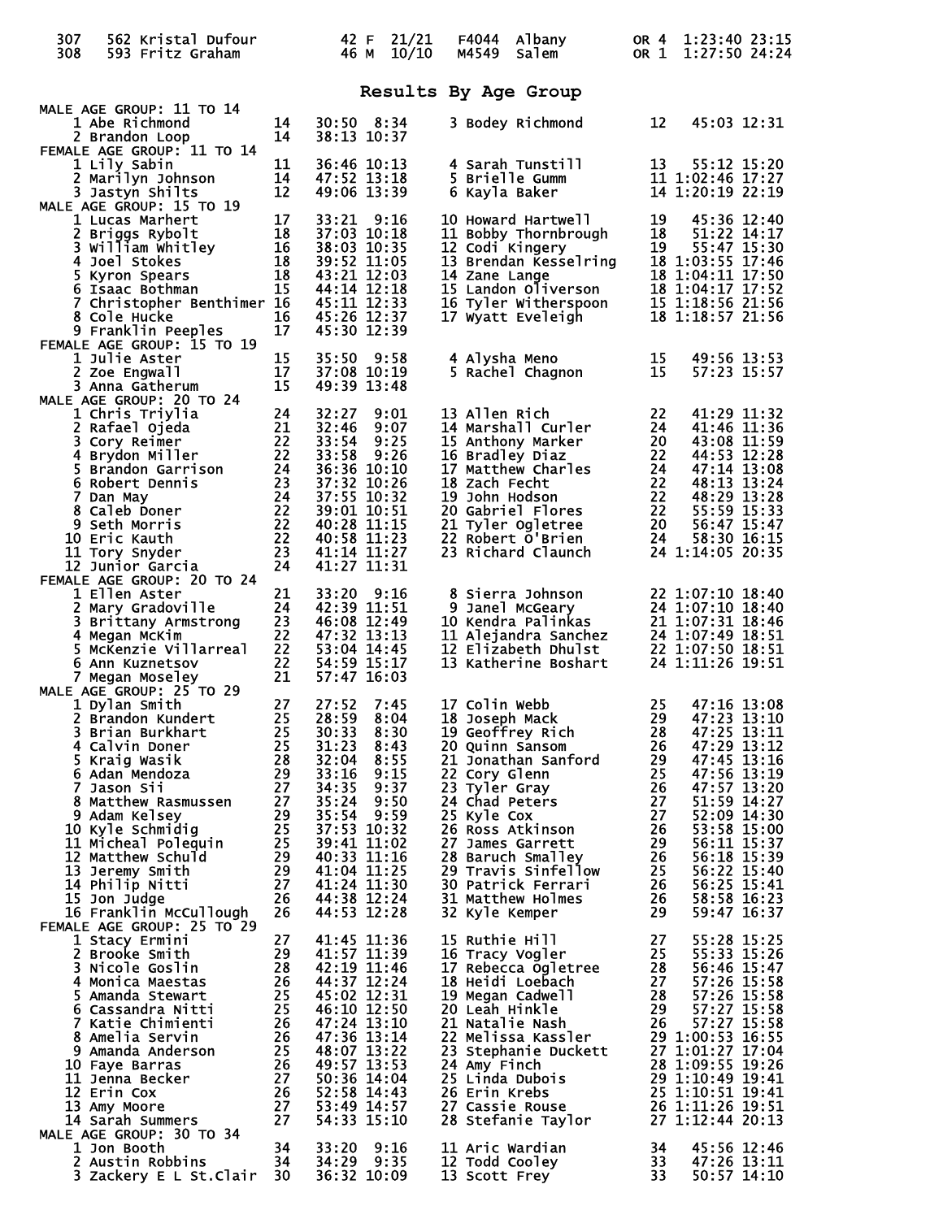| 307<br>308 | 562 Kristal Dufour<br>593 Fritz Graham                                                                                                                                                                                                                                                  |                            |                               | 42 F<br>46 M | 21/21<br>10/10 | F4044<br>M4549 | Albany<br><b>Salem</b>                                                                |          | OR 4 1:23:40 23:15<br>OR 1 1:27:50 24:24 |                            |
|------------|-----------------------------------------------------------------------------------------------------------------------------------------------------------------------------------------------------------------------------------------------------------------------------------------|----------------------------|-------------------------------|--------------|----------------|----------------|---------------------------------------------------------------------------------------|----------|------------------------------------------|----------------------------|
|            |                                                                                                                                                                                                                                                                                         |                            |                               |              |                |                | Results By Age Group                                                                  |          |                                          |                            |
|            | MALE AGE GROUP: 11 TO 14<br>1 Abe Richmond                                                                                                                                                                                                                                              | 14                         | 30:50 8:34                    |              |                |                | 3 Bodey Richmond                                                                      | 12       |                                          | 45:03 12:31                |
|            | 2 Brandon Loop<br>FEMALE AGE GROUP: 11 TO 14<br>1 Lily Sabin                                                                                                                                                                                                                            | 14<br>11                   | 38:13 10:37<br>36:46 10:13    |              |                |                | 4 Sarah Tunstill                                                                      | 13       | 55:12 15:20                              |                            |
|            | 2 Marilyn Johnson<br>3 Jastyn Shilts                                                                                                                                                                                                                                                    | 14<br>12                   | 47:52 13:18<br>49:06 13:39    |              |                |                | 5 Brielle Gumm<br>6 Kayla Baker                                                       |          | 11 1:02:46 17:27<br>14 1:20:19 22:19     |                            |
|            | MALE AGE GROUP: 15 TO 19<br>1 Lucas Marhert                                                                                                                                                                                                                                             | 17                         | 33:21 9:16                    |              |                |                | 10 Howard Hartwell                                                                    | 19       | 45:36 12:40                              |                            |
|            | 2 Briggs Rybolt<br>3 William Whitley<br>4 Joel Stekes                                                                                                                                                                                                                                   | 18                         | 37:03 10:18<br>38:03 10:35    |              |                |                | 11 Bobby Thornbrough<br>12 Codi Kingery                                               | 18<br>19 | 51:22 14:17<br>55:47 15:30               |                            |
|            | $\frac{16}{18}$<br>$\frac{18}{15}$<br>4 Joel Stokes<br>5 Kyron Spears                                                                                                                                                                                                                   |                            | 39:52 11:05<br>43:21 12:03    |              |                | 14 Zane Lange  | 13 Brendan Kesselring                                                                 |          | 18 1:03:55 17:46<br>18 1:04:11 17:50     |                            |
|            | 6 Isaac Bothman                                                                                                                                                                                                                                                                         | 15                         | 44:14 12:18                   |              |                |                |                                                                                       |          | 18 1:04:17 17:52                         |                            |
|            | 7 Christopher Benthimer 16<br>8 Cole Hucke                                                                                                                                                                                                                                              | 16                         | 45:11 12:33<br>45:26 12:37    |              |                |                | IS Landon Oliverson<br>16 Tyler Witherspoon<br>17 Wyatt Eveleigh<br>17 Wyatt Eveleigh |          | 15 1:18:56 21:56<br>18 1:18:57 21:56     |                            |
|            | 9 Franklin Peeples<br>FEMALE AGE GROUP: 15 TO 19                                                                                                                                                                                                                                        | 17                         | 45:30 12:39                   |              |                |                |                                                                                       |          |                                          |                            |
|            | 1 Julie Aster<br>2 Zoe Engwall                                                                                                                                                                                                                                                          | 15<br>17                   | $35:50$ $9:58$<br>37:08 10:19 |              |                |                | 4 Alysha Meno<br>5 Rachel Chagnon                                                     | 15<br>15 |                                          | 49:56 13:53<br>57:23 15:57 |
|            | 3 Anna Gatherum<br>MALE AGE GROUP: 20 TO 24                                                                                                                                                                                                                                             | 15                         | 49:39 13:48                   |              |                |                |                                                                                       |          |                                          |                            |
|            |                                                                                                                                                                                                                                                                                         |                            | 32:27<br>32:46                |              | 9:01<br>9:07   | 13 Allen Rich  | 14 Marshall Curler                                                                    | 22<br>24 | 41:29 11:32<br>41:46 11:36               |                            |
|            |                                                                                                                                                                                                                                                                                         |                            | 33:54                         |              | 9:25           |                | 15 Anthony Marker                                                                     | 20       | 43:08 11:59                              |                            |
|            |                                                                                                                                                                                                                                                                                         |                            | 33:58<br>36:36 10:10          |              | 9:26           |                | 16 Bradley Diaz                                                                       | 22<br>24 | 44:53 12:28<br>47:14 13:08               |                            |
|            |                                                                                                                                                                                                                                                                                         |                            | 37:32 10:26<br>37:55 10:32    |              |                |                | 17 Matthew Charles<br>18 Zach Fecht<br>19 John Hodson                                 | 22<br>22 | 48:13 13:24<br>48:29 13:28               |                            |
|            |                                                                                                                                                                                                                                                                                         |                            | 39:01 10:51<br>40:28 11:15    |              |                |                | 20 Gabriel Flores                                                                     | 22<br>20 | 55:59 15:33<br>56:47 15:47               |                            |
|            | E AGE GROUP: 20 TO 24<br>1 Chris Triylia 24<br>2 Rafael Ojeda 21<br>3 Cory Reimer 22<br>4 Brydon Miller 22<br>4 Brandon Garrison 24<br>6 Robert Dennis 23<br>7 Dan May 24<br>8 Caleb Doner 22<br>9 Seth Morris 22<br>10 Eric Kauth 22<br>11 Tory Sny<br>10 Eric Kauth<br>11 Tory Snyder | 23                         | 40:58 11:23<br>41:14 11:27    |              |                |                | 21 Tyler Ogletree<br>22 Robert O'Brien<br>23 Richard Claunch                          | 24       | 58:30 16:15<br>24 1:14:05 20:35          |                            |
|            | 12 Junior Garcia<br>FEMALE AGE GROUP: 20 TO 24                                                                                                                                                                                                                                          | 24                         | 41:27 11:31                   |              |                |                |                                                                                       |          |                                          |                            |
|            | 1 Ellen Aster                                                                                                                                                                                                                                                                           | 21                         | 33:20 9:16                    |              |                |                |                                                                                       |          | 22 1:07:10 18:40                         |                            |
|            | 2 Mary Gradoville<br>2 Mai y Graussics<br>3 Brittany Armstrong                                                                                                                                                                                                                          | 24<br>23                   | 42:39 11:51<br>46:08 12:49    |              |                |                | 8 Sierra Johnson<br>9 Janel McGeary<br>10 Kendra Palinkas                             |          | 24 1:07:10 18:40<br>21 1:07:31 18:46     |                            |
|            | 4 Megan McKim<br>5 McKenzie Villarreal                                                                                                                                                                                                                                                  | 22<br>22                   | 47:32 13:13<br>53:04 14:45    |              |                |                | 11 Alejandra Sanchez<br>12 Elizabeth Dhulst                                           |          | 24 1:07:49 18:51<br>22 1:07:50 18:51     |                            |
|            | 6 Ann Kuznetsov<br>7 Megan Moseley                                                                                                                                                                                                                                                      | 22<br>21                   | 54:59 15:17<br>57:47 16:03    |              |                |                | 13 Katherine Boshart                                                                  |          | 24 1:11:26 19:51                         |                            |
|            | MALE AGE GROUP: 25 TO 29<br>1 Dylan Smith                                                                                                                                                                                                                                               | 27                         | 27:52                         |              | 7:45           | 17 Colin Webb  |                                                                                       | 25       |                                          | 47:16 13:08                |
|            | 2 Brandon Kundert<br>3 Brian Burkhart                                                                                                                                                                                                                                                   | 25<br>25                   | 28:59 8:04<br>30:33           |              | 8:30           |                | <b>18 Joseph Mack</b><br>19 Geoffrey Rich                                             | 28       | 29 47:23 13:10<br>47:25 13:11            |                            |
|            |                                                                                                                                                                                                                                                                                         |                            | 31:23                         |              | 8:43           |                | 20 Quinn Sansom                                                                       | 26       | 47:29 13:12<br>47:45 13:16               |                            |
|            |                                                                                                                                                                                                                                                                                         |                            | 32:04 8:55<br>33:16           |              | 9:15           | 22 Cory Glenn  | 21 Jonathan Sanford                                                                   | 29<br>25 | 47:56 13:19                              |                            |
|            |                                                                                                                                                                                                                                                                                         |                            | 34:35<br>35:24 9:50           |              | 9:37           | 23 Tyler Gray  | 24 Chad Peters                                                                        | 26<br>27 | 47:57 13:20<br>51:59 14:27               |                            |
|            |                                                                                                                                                                                                                                                                                         |                            | 35:54 9:59<br>37:53 10:32     |              |                | 25 Kyle Cox    | 26 Ross Atkinson                                                                      | 27<br>26 | 52:09 14:30<br>53:58 15:00               |                            |
|            |                                                                                                                                                                                                                                                                                         |                            | 39:41 11:02<br>40:33 11:16    |              |                |                | 27 James Garrett<br>28 Baruch Smalley                                                 | 29<br>26 | 56:11 15:37<br>56:18 15:39               |                            |
|            | 3 Brian Burkhart<br>4 Calvin Doner<br>5 Kraig Wasik<br>6 Adan Mendoza<br>7 Jason Sii<br>8 Matthew Rasmussen<br>9 Adam Kelsey<br>9 Adam Kelsey<br>10 Kyle Schmidig 29<br>10 Kyle Schmidig 25<br>11 Micheal Poleguin<br>13 Jeremy Smith<br>14 Philip Nitti 29<br>14 Phi                   |                            | 41:04 11:25<br>41:24 11:30    |              |                |                | 29 Travis Sinfellow<br>30 Patrick Ferrari                                             | 25<br>26 | 56:22 15:40<br>56:25 15:41               |                            |
|            |                                                                                                                                                                                                                                                                                         |                            | 44:38 12:24<br>44:53 12:28    |              |                |                | 31 Matthew Holmes                                                                     | 26<br>29 | 58:58 16:23<br>59:47 16:37               |                            |
|            | FEMALE AGE GROUP: 25 TO 29                                                                                                                                                                                                                                                              |                            |                               |              |                |                | 32 Kyle Kemper                                                                        |          |                                          |                            |
|            | 1 Stacy Ermini<br>2 Brooke Smith                                                                                                                                                                                                                                                        | 27<br>29                   | 41:45 11:36<br>41:57 11:39    |              |                | 15 Ruthie Hill | 16 Tracy Vogler                                                                       | 27<br>25 | 55:28 15:25<br>55:33 15:26               |                            |
|            | 3 Nicole Goslin<br>4 Monica Maestas                                                                                                                                                                                                                                                     | 28<br>26                   | 42:19 11:46<br>44:37 12:24    |              |                |                | 17 Rebecca Ōgletree<br>18 Heidi Loebach                                               | 28<br>27 | 56:46 15:47<br>57:26 15:58               |                            |
|            | 5 Amanda Stewart<br>6 Cassandra Nitti                                                                                                                                                                                                                                                   | 25                         | 45:02 12:31<br>46:10 12:50    |              |                |                | 19 Megan Cadwell<br>20 Leah Hinkle                                                    | 28<br>29 | 57:26 15:58<br>57:27 15:58               |                            |
|            | 7 Katie Chimienti<br>8 Amelia Servin                                                                                                                                                                                                                                                    | $\frac{25}{26}$            | 47:24 13:10<br>47:36 13:14    |              |                |                | 21 Natalie Nash<br>22 Melissa Kassler                                                 | 26       | 57:27 15:58<br>29 1:00:53 16:55          |                            |
|            | 9 Amanda Anderson                                                                                                                                                                                                                                                                       |                            | 48:07 13:22<br>49:57 13:53    |              |                | 24 Amy Finch   | 23 Stephanie Duckett                                                                  |          | 27 1:01:27 17:04<br>28 1:09:55 19:26     |                            |
|            | 10 Faye Barras<br>11 Jenna Becker                                                                                                                                                                                                                                                       |                            | 50:36 14:04                   |              |                |                | 25 Linda Dubois                                                                       |          | 29 1:10:49 19:41                         |                            |
|            | 12 Erin Cox<br>13 Amy Moore                                                                                                                                                                                                                                                             | 25<br>26<br>27<br>27<br>27 | 52:58 14:43<br>53:49 14:57    |              |                | 26 Erin Krebs  | 27 Cassie Rouse                                                                       |          | 25 1:10:51 19:41<br>26 1:11:26 19:51     |                            |
|            | $\overline{\mathbf{27}}$<br>14 Sarah Summers<br>MALE AGE GROUP: 30 TO 34                                                                                                                                                                                                                |                            | 54:33 15:10                   |              |                |                | 28 Stefanie Taylor                                                                    |          | 27 1:12:44 20:13                         |                            |
|            | 1 Jon Booth<br>2 Austin Robbins                                                                                                                                                                                                                                                         | 34<br>- 34                 | 33:20 9:16<br>34:29 9:35      |              |                |                | 11 Aric Wardian<br>12 Todd Cooley                                                     | 34<br>33 |                                          | 45:56 12:46<br>47:26 13:11 |
|            | 3 Zackery E L St. Clair 30                                                                                                                                                                                                                                                              |                            | 36:32 10:09                   |              |                | 13 Scott Frey  |                                                                                       | 33       |                                          | 50:57 14:10                |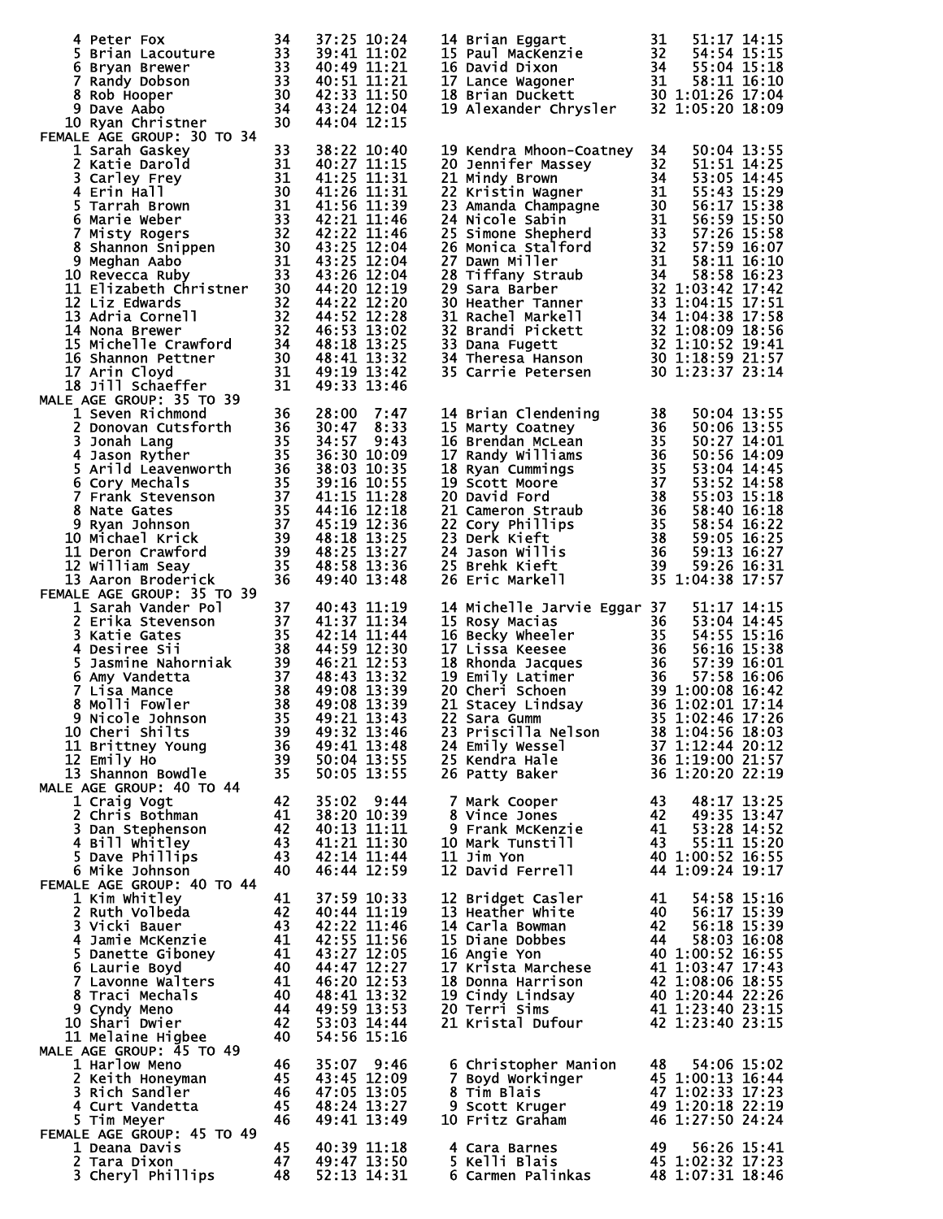|                                                                                                                                                                                                                                                                                                       |                                    | 37:25 10:24                |      | 14 Brian Eggart                                                                                                                                                                                                                                                           | 31                                      | 51:17 14:15                                                                         |  |
|-------------------------------------------------------------------------------------------------------------------------------------------------------------------------------------------------------------------------------------------------------------------------------------------------------|------------------------------------|----------------------------|------|---------------------------------------------------------------------------------------------------------------------------------------------------------------------------------------------------------------------------------------------------------------------------|-----------------------------------------|-------------------------------------------------------------------------------------|--|
|                                                                                                                                                                                                                                                                                                       |                                    | 39:41 11:02<br>40:49 11:21 |      | 14 Brian Eggart 31 51:17 14:15<br>15 Paul MacKenzie 32 54:54 15:15<br>16 David Dixon 34 55:04 15:18<br>17 Lance Wagoner 31 58:11 16:10<br>18 Brian Duckett 30 1:01:26 17:04<br>19 Alexander Chrysler 32 1:05:20 18:09                                                     |                                         |                                                                                     |  |
|                                                                                                                                                                                                                                                                                                       |                                    | 40:51 11:21                |      |                                                                                                                                                                                                                                                                           |                                         |                                                                                     |  |
|                                                                                                                                                                                                                                                                                                       |                                    | 42:33 11:50                |      |                                                                                                                                                                                                                                                                           |                                         |                                                                                     |  |
| 9 Dave Aabo                                                                                                                                                                                                                                                                                           |                                    | 43:24 12:04                |      |                                                                                                                                                                                                                                                                           |                                         |                                                                                     |  |
| 10 Ryan Christner                                                                                                                                                                                                                                                                                     |                                    | 44:04 12:15                |      |                                                                                                                                                                                                                                                                           |                                         |                                                                                     |  |
| FEMALE AGE GROUP: 30 TO 34<br>1 Sarah Gaskey<br>WALE AGE GROUP: 30 10 34<br>1 Sarah Gaskey<br>2 Katie Darold<br>3 Carley Frey<br>3 Carley Frey<br>4 Erin Hall<br>5 Tarrah Brown<br>6 Marie Weber<br>7 Misty Rogers<br>8 Shannon Snippen<br>9 Meghan Aabo<br>10 Revecca Ruby<br>11 Elizabeth Christner | 33                                 | 38:22 10:40                |      | 19 Kendra Mhoon-Coatney                                                                                                                                                                                                                                                   | 34                                      | 50:04 13:55                                                                         |  |
|                                                                                                                                                                                                                                                                                                       |                                    | 40:27 11:15                |      | 19 Kendra Mhoon-Coatney 34 50:04 13:55<br>20 Jennifer Massey 32 51:51 14:25<br>21 Mindy Brown 34 53:05 14:45<br>22 Kristin Wagner 31 55:43 15:29<br>23 Amanda Champagne 30 56:17 15:38<br>24 Nicole Sabin 31 56:59 15:58<br>25 Simone Shep                                |                                         |                                                                                     |  |
|                                                                                                                                                                                                                                                                                                       |                                    | 41:25 11:31                |      |                                                                                                                                                                                                                                                                           |                                         |                                                                                     |  |
|                                                                                                                                                                                                                                                                                                       |                                    | 41:26 11:31                |      |                                                                                                                                                                                                                                                                           |                                         |                                                                                     |  |
|                                                                                                                                                                                                                                                                                                       |                                    | 41:56 11:39<br>42:21 11:46 |      |                                                                                                                                                                                                                                                                           |                                         |                                                                                     |  |
|                                                                                                                                                                                                                                                                                                       |                                    | 42:22 11:46                |      |                                                                                                                                                                                                                                                                           |                                         |                                                                                     |  |
|                                                                                                                                                                                                                                                                                                       |                                    | 43:25 12:04                |      |                                                                                                                                                                                                                                                                           |                                         |                                                                                     |  |
|                                                                                                                                                                                                                                                                                                       |                                    | 43:25 12:04                |      |                                                                                                                                                                                                                                                                           |                                         |                                                                                     |  |
|                                                                                                                                                                                                                                                                                                       |                                    | 43:26 12:04                |      |                                                                                                                                                                                                                                                                           |                                         |                                                                                     |  |
|                                                                                                                                                                                                                                                                                                       |                                    | 44:20 12:19<br>44:22 12:20 |      |                                                                                                                                                                                                                                                                           |                                         |                                                                                     |  |
|                                                                                                                                                                                                                                                                                                       |                                    | 44:52 12:28                |      |                                                                                                                                                                                                                                                                           |                                         |                                                                                     |  |
|                                                                                                                                                                                                                                                                                                       |                                    | $46:53$ $\overline{13}:02$ |      |                                                                                                                                                                                                                                                                           |                                         |                                                                                     |  |
|                                                                                                                                                                                                                                                                                                       |                                    | 48:18 13:25                |      |                                                                                                                                                                                                                                                                           |                                         |                                                                                     |  |
|                                                                                                                                                                                                                                                                                                       |                                    | 48:41 13:32                |      |                                                                                                                                                                                                                                                                           |                                         |                                                                                     |  |
| 18 Jill Schaeffer                                                                                                                                                                                                                                                                                     | 31                                 | 49:19 13:42<br>49:33 13:46 |      |                                                                                                                                                                                                                                                                           |                                         |                                                                                     |  |
| MALE AGE GROUP: 35 TO 39                                                                                                                                                                                                                                                                              |                                    |                            |      |                                                                                                                                                                                                                                                                           |                                         |                                                                                     |  |
|                                                                                                                                                                                                                                                                                                       |                                    | 28:00                      | 7:47 | 14 Brian Clendening                                                                                                                                                                                                                                                       | 38                                      | 50:04 13:55                                                                         |  |
|                                                                                                                                                                                                                                                                                                       |                                    | 30:47                      | 8:33 | 15 Marty Coatney<br>14 Brian Ciencening<br>15 Marty Coatney<br>16 Brendan McLean<br>17 Randy Williams<br>18 Ryan Cummings<br>18 Ryan Cummings<br>19 Scott Moore<br>20 David Ford<br>21 Cameron Straub<br>22 Cory Phillips<br>23 Derk Kieft<br>24 Jason Willis<br>25 Brehk |                                         | 50:06 13:55                                                                         |  |
|                                                                                                                                                                                                                                                                                                       |                                    | 34:57 9:43<br>36:30 10:09  |      |                                                                                                                                                                                                                                                                           |                                         | 50:27 14:01<br>50:56 14:09                                                          |  |
|                                                                                                                                                                                                                                                                                                       |                                    | 38:03 10:35                |      |                                                                                                                                                                                                                                                                           |                                         | 53:04 14:45                                                                         |  |
|                                                                                                                                                                                                                                                                                                       |                                    | 39:16 10:55                |      |                                                                                                                                                                                                                                                                           |                                         | 53:52 14:58                                                                         |  |
|                                                                                                                                                                                                                                                                                                       |                                    | 41:15 11:28                |      |                                                                                                                                                                                                                                                                           |                                         | 55:03 15:18                                                                         |  |
|                                                                                                                                                                                                                                                                                                       |                                    | 44:16 12:18                |      |                                                                                                                                                                                                                                                                           |                                         | 58:40 16:18                                                                         |  |
|                                                                                                                                                                                                                                                                                                       |                                    | 45:19 12:36                |      |                                                                                                                                                                                                                                                                           |                                         | 58:54 16:22                                                                         |  |
|                                                                                                                                                                                                                                                                                                       |                                    | 48:18 13:25<br>48:25 13:27 |      |                                                                                                                                                                                                                                                                           |                                         | 59:05 16:25<br>59:13 16:27                                                          |  |
|                                                                                                                                                                                                                                                                                                       |                                    | 48:58 13:36                |      |                                                                                                                                                                                                                                                                           | 39                                      | 59:26 16:31                                                                         |  |
|                                                                                                                                                                                                                                                                                                       |                                    | 49:40 13:48                |      |                                                                                                                                                                                                                                                                           |                                         | 35 1:04:38 17:57                                                                    |  |
| 1 Seven Richmond<br>2 Donovan Cutsforth<br>36<br>3 Jonah Lang<br>4 Jason Ryther<br>5 Arild Leavenworth<br>36<br>5 Arild Leavenworth<br>36<br>5 Crank Stevenson<br>37<br>8 Nate Gates<br>8 Nyan Johnson<br>37<br>8 Nate Gates<br>9 Ryan Johnson<br>37<br>10 Micha<br>FEMALE AGE GROUP: 35 TO 39        |                                    |                            |      |                                                                                                                                                                                                                                                                           |                                         |                                                                                     |  |
| 1 Sarah Vander Pol                                                                                                                                                                                                                                                                                    | 37                                 | 40:43 11:19                |      | 14 Michelle Jarvie Eggar 37                                                                                                                                                                                                                                               |                                         | 51:17 14:15                                                                         |  |
|                                                                                                                                                                                                                                                                                                       |                                    |                            |      |                                                                                                                                                                                                                                                                           |                                         |                                                                                     |  |
| 1 Sarika Stevenson<br>37 41:37 11:34<br>3 Katie Gates<br>4 Desiree Sii<br>5 Jasmine Nahorniak<br>6 Amy Vandetta<br>7 Lisa Mance<br>8 Molli Fowler<br>8 Molli Fowler<br>9 Nicole Johnson<br>9 Nicole Johnson<br>8 Ag:08 13:39<br>9 Nicole Johnson<br>8 Ag                                              |                                    |                            |      | 15 Rosy Macrias<br>16 Becky wheeler<br>16 Becky wheeler<br>17 Lissa Keesee<br>36 53:04 14:45<br>16 Becky wheeler<br>35 54:55 15:16<br>17 Lissa Keesee<br>36 57:39 16:01<br>19 Emily Latimer<br>20 Cheri Schoen<br>20 Cheri Schoen<br>39 1:00:08 16:42<br>                 |                                         |                                                                                     |  |
|                                                                                                                                                                                                                                                                                                       |                                    |                            |      |                                                                                                                                                                                                                                                                           |                                         |                                                                                     |  |
|                                                                                                                                                                                                                                                                                                       |                                    |                            |      |                                                                                                                                                                                                                                                                           |                                         |                                                                                     |  |
|                                                                                                                                                                                                                                                                                                       |                                    |                            |      |                                                                                                                                                                                                                                                                           |                                         |                                                                                     |  |
|                                                                                                                                                                                                                                                                                                       |                                    |                            |      |                                                                                                                                                                                                                                                                           |                                         |                                                                                     |  |
| 10 Cheri Shilts                                                                                                                                                                                                                                                                                       | 39                                 | 49:32 13:46                |      | 23 Priscilla Nelson                                                                                                                                                                                                                                                       |                                         | 38 1:04:56 18:03                                                                    |  |
| 11 Brittney Young                                                                                                                                                                                                                                                                                     |                                    | 49:41 13:48                |      | 24 Emily Wessel                                                                                                                                                                                                                                                           |                                         | $37\overline{1}\cdot\overline{1}2\cdot\overline{4}4\overline{2}0\cdot\overline{1}2$ |  |
| $\frac{38}{36}$<br>39<br>35<br>12 Emily Ho                                                                                                                                                                                                                                                            |                                    | 50:04 13:55                |      | 25 Kendra Hale                                                                                                                                                                                                                                                            |                                         | 36 1:19:00 21:57                                                                    |  |
| 13 Shannon Bowdle<br>MALE AGE GROUP: 40 TO 44                                                                                                                                                                                                                                                         |                                    | 50:05 13:55                |      | 26 Patty Baker                                                                                                                                                                                                                                                            |                                         | 36 1:20:20 22:19                                                                    |  |
| 1 Craig Vogt                                                                                                                                                                                                                                                                                          | 42                                 | 35:02 9:44                 |      | 7 Mark Cooper                                                                                                                                                                                                                                                             | 43                                      | 48:17 13:25                                                                         |  |
| 2 Chris Bothman                                                                                                                                                                                                                                                                                       | $\frac{41}{42}$<br>$\frac{43}{43}$ | 38:20 10:39                |      | 8 Vince Jones                                                                                                                                                                                                                                                             | 42                                      | 49:35 13:47                                                                         |  |
| 3 Dan Stephenson                                                                                                                                                                                                                                                                                      |                                    | 40:13 11:11                |      | 9 Frank McKenzie                                                                                                                                                                                                                                                          |                                         | 41 53:28 14:52                                                                      |  |
| 4 Bill Whitley                                                                                                                                                                                                                                                                                        |                                    | 41:21 11:30<br>42:14 11:44 |      | 10 Mark Tunstill                                                                                                                                                                                                                                                          | 43                                      | 55:11 15:20<br>40 1:00:52 16:55                                                     |  |
| 5 Dave Phillips<br>6 Mike Johnson                                                                                                                                                                                                                                                                     | 43<br>40                           | 46:44 12:59                |      | 11 Jim Yon<br>12 David Ferrell                                                                                                                                                                                                                                            |                                         | 44 1:09:24 19:17                                                                    |  |
| FEMALE AGE GROUP: 40 TO 44                                                                                                                                                                                                                                                                            |                                    |                            |      |                                                                                                                                                                                                                                                                           |                                         |                                                                                     |  |
| 1 Kim whitley                                                                                                                                                                                                                                                                                         | 41                                 | 37:59 10:33                |      | 12 Bridget Casler                                                                                                                                                                                                                                                         | 41                                      | 54:58 15:16                                                                         |  |
| 2 Ruth Volbeda                                                                                                                                                                                                                                                                                        | $\frac{42}{43}$                    | 40:44 11:19                |      | 13 Heather White                                                                                                                                                                                                                                                          |                                         | $40$ 56:17 15:39                                                                    |  |
| 3 Vicki Bauer<br><b>4 Jamie McKenzie</b>                                                                                                                                                                                                                                                              | $-41$                              | 42:22 11:46<br>42:55 11:56 |      | 14 Carla Bowman<br>15 Diane Dobbes                                                                                                                                                                                                                                        | $\begin{array}{c} 42 \\ 44 \end{array}$ | 56:18 15:39<br>58:03 16:08                                                          |  |
| 5 Danette Giboney                                                                                                                                                                                                                                                                                     |                                    | 43:27 12:05                |      | 16 Angie Yon                                                                                                                                                                                                                                                              |                                         | 40 1:00:52 16:55                                                                    |  |
| 6 Laurie Boyd                                                                                                                                                                                                                                                                                         | $\frac{41}{40}$                    | 44:47 12:27                |      |                                                                                                                                                                                                                                                                           |                                         | 41 1:03:47 17:43                                                                    |  |
| 7 Lavonne Walters                                                                                                                                                                                                                                                                                     | $\frac{41}{40}$<br>44              | 46:20 12:53                |      | 17 Krista Marchese<br>18 Donna Harrison<br>19 Cindy Lindsay                                                                                                                                                                                                               |                                         | 42 1:08:06 18:55<br>40 1:20:44 22:26<br>41 1:23:40 23:15                            |  |
| 8 Traci Mechals                                                                                                                                                                                                                                                                                       |                                    | 48:41 13:32                |      |                                                                                                                                                                                                                                                                           |                                         |                                                                                     |  |
| 9 Cyndy Meno<br>10 Shari Dwier                                                                                                                                                                                                                                                                        | 42                                 | 49:59 13:53<br>53:03 14:44 |      | 20 Terri Sims<br>21 Kristal Dufour                                                                                                                                                                                                                                        |                                         | 42 1:23:40 23:15                                                                    |  |
| 11 Melaine Higbee                                                                                                                                                                                                                                                                                     | 40                                 | 54:56 15:16                |      |                                                                                                                                                                                                                                                                           |                                         |                                                                                     |  |
| MALE AGE GROUP: 45 TO 49                                                                                                                                                                                                                                                                              |                                    |                            |      |                                                                                                                                                                                                                                                                           |                                         |                                                                                     |  |
| 1 Harlow Meno                                                                                                                                                                                                                                                                                         | 46                                 | 35:07 9:46                 |      | 6 Christopher Manion                                                                                                                                                                                                                                                      | 48                                      | 54:06 15:02                                                                         |  |
| 2 Keith Honeyman                                                                                                                                                                                                                                                                                      | 45                                 | 43:45 12:09                |      | 7 Boyd Workinger                                                                                                                                                                                                                                                          |                                         | 45 1:00:13 16:44                                                                    |  |
| 3 Rich Sandler<br>4 Curt Vandetta                                                                                                                                                                                                                                                                     | 46<br>45                           | 47:05 13:05<br>48:24 13:27 |      | 8 Tim Blais<br>9 Scott Kruger                                                                                                                                                                                                                                             |                                         | 47 1:02:33 17:23<br>49 1:20:18 22:19                                                |  |
| 5 Tim Meyer                                                                                                                                                                                                                                                                                           | 46                                 | 49:41 13:49                |      | 10 Fritz Graham                                                                                                                                                                                                                                                           |                                         | 46 1:27:50 24:24                                                                    |  |
| FEMALE AGE GROUP: 45 TO 49                                                                                                                                                                                                                                                                            |                                    |                            |      |                                                                                                                                                                                                                                                                           |                                         |                                                                                     |  |
| 1 Deana Davis                                                                                                                                                                                                                                                                                         | 45                                 | 40:39 11:18                |      | 4 Cara Barnes                                                                                                                                                                                                                                                             | 49                                      | 56:26 15:41                                                                         |  |
| 2 Tara Dixon                                                                                                                                                                                                                                                                                          | 47                                 | 49:47 13:50                |      | 5 Kelli Blais                                                                                                                                                                                                                                                             |                                         | 45 1:02:32 17:23                                                                    |  |
| 3 Cheryl Phillips                                                                                                                                                                                                                                                                                     | 48                                 | 52:13 14:31                |      | 6 Carmen Palinkas                                                                                                                                                                                                                                                         |                                         | 48 1:07:31 18:46                                                                    |  |